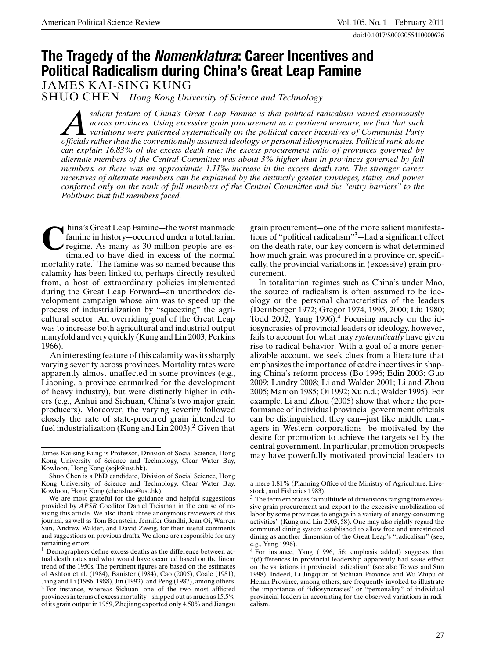doi:10.1017/S0003055410000626

# **The Tragedy of the Nomenklatura: Career Incentives and Political Radicalism during China's Great Leap Famine** JAMES KAI-SING KUNG

SHUO CHEN *Hong Kong University of Science and Technology*

*Asalient feature of China's Great Leap Famine is that political radicalism varied enormously across provinces. Using excessive grain procurement as a pertinent measure, we find that such variations were patterned systemat across provinces. Using excessive grain procurement as a pertinent measure, we find that such variations were patterned systematically on the political career incentives of Communist Party officials rather than the conventionally assumed ideology or personal idiosyncrasies. Political rank alone can explain 16.83% of the excess death rate: the excess procurement ratio of provinces governed by alternate members of the Central Committee was about 3% higher than in provinces governed by full members, or there was an approximate 1.11‰ increase in the excess death rate. The stronger career incentives of alternate members can be explained by the distinctly greater privileges, status, and power conferred only on the rank of full members of the Central Committee and the "entry barriers" to the Politburo that full members faced.*

**C**hina's Great Leap Famine—the worst manmade<br>famine in history—occurred under a totalitarian<br>regime. As many as 30 million people are es-<br>timated to have died in excess of the normal famine in history—occurred under a totalitarian regime. As many as 30 million people are estimated to have died in excess of the normal mortality rate.<sup>1</sup> The famine was so named because this calamity has been linked to, perhaps directly resulted from, a host of extraordinary policies implemented during the Great Leap Forward—an unorthodox development campaign whose aim was to speed up the process of industrialization by "squeezing" the agricultural sector. An overriding goal of the Great Leap was to increase both agricultural and industrial output manyfold and very quickly (Kung and Lin 2003; Perkins 1966).

An interesting feature of this calamity was its sharply varying severity across provinces. Mortality rates were apparently almost unaffected in some provinces (e.g., Liaoning, a province earmarked for the development of heavy industry), but were distinctly higher in others (e.g., Anhui and Sichuan, China's two major grain producers). Moreover, the varying severity followed closely the rate of state-procured grain intended to fuel industrialization (Kung and Lin 2003).<sup>2</sup> Given that grain procurement—one of the more salient manifestations of "political radicalism"3 —had a significant effect on the death rate, our key concern is what determined how much grain was procured in a province or, specifically, the provincial variations in (excessive) grain procurement.

In totalitarian regimes such as China's under Mao, the source of radicalism is often assumed to be ideology or the personal characteristics of the leaders (Dernberger 1972; Gregor 1974, 1995, 2000; Liu 1980; Todd 2002; Yang 1996). $4$  Focusing merely on the idiosyncrasies of provincial leaders or ideology, however, fails to account for what may *systematically* have given rise to radical behavior. With a goal of a more generalizable account, we seek clues from a literature that emphasizes the importance of cadre incentives in shaping China's reform process (Bo 1996; Edin 2003; Guo 2009; Landry 2008; Li and Walder 2001; Li and Zhou 2005; Manion 1985; Oi 1992; Xu n.d.; Walder 1995). For example, Li and Zhou (2005) show that where the performance of individual provincial government officials can be distinguished, they can—just like middle managers in Western corporations—be motivated by the desire for promotion to achieve the targets set by the central government. In particular, promotion prospects may have powerfully motivated provincial leaders to

James Kai-sing Kung is Professor, Division of Social Science, Hong Kong University of Science and Technology, Clear Water Bay, Kowloon, Hong Kong (sojk@ust.hk).

Shuo Chen is a PhD candidate, Division of Social Science, Hong Kong University of Science and Technology, Clear Water Bay, Kowloon, Hong Kong (chenshuo@ust.hk).

We are most grateful for the guidance and helpful suggestions provided by *APSR* Coeditor Daniel Treisman in the course of revising this article. We also thank three anonymous reviewers of this journal, as well as Tom Bernstein, Jennifer Gandhi, Jean Oi, Warren Sun, Andrew Walder, and David Zweig, for their useful comments and suggestions on previous drafts. We alone are responsible for any remaining errors.

<sup>1</sup> Demographers define excess deaths as the difference between actual death rates and what would have occurred based on the linear trend of the 1950s. The pertinent figures are based on the estimates of Ashton et al. (1984), Banister (1984), Cao (2005), Coale (1981), Jiang and Li (1986, 1988), Jin (1993), and Peng (1987), among others. <sup>2</sup> For instance, whereas Sichuan—one of the two most afflicted provinces in terms of excess mortality—shipped out as much as 15.5% of its grain output in 1959, Zhejiang exported only 4.50% and Jiangsu

a mere 1.81% (Planning Office of the Ministry of Agriculture, Livestock, and Fisheries 1983).

<sup>&</sup>lt;sup>3</sup> The term embraces "a multitude of dimensions ranging from excessive grain procurement and export to the excessive mobilization of labor by some provinces to engage in a variety of energy-consuming activities" (Kung and Lin 2003, 58). One may also rightly regard the communal dining system established to allow free and unrestricted dining as another dimension of the Great Leap's "radicalism" (see, e.g., Yang 1996).

<sup>&</sup>lt;sup>4</sup> For instance, Yang (1996, 56; emphasis added) suggests that "(d)ifferences in provincial leadership apparently had *some* effect on the variations in provincial radicalism" (see also Teiwes and Sun 1998). Indeed, Li Jingquan of Sichuan Province and Wu Zhipu of Henan Province, among others, are frequently invoked to illustrate the importance of "idiosyncrasies" or "personality" of individual provincial leaders in accounting for the observed variations in radicalism.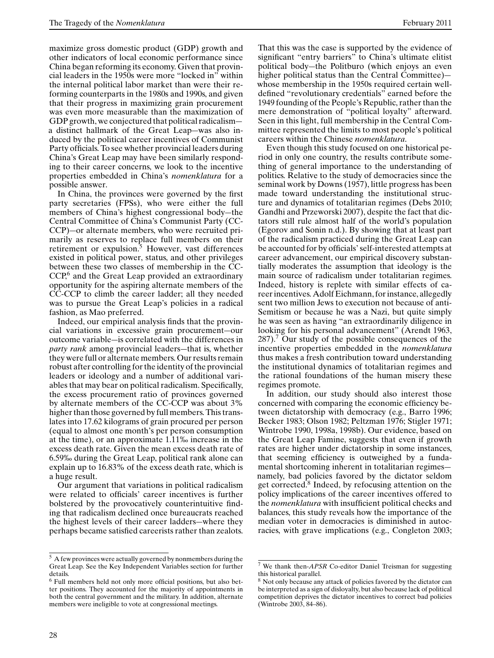maximize gross domestic product (GDP) growth and other indicators of local economic performance since China began reforming its economy. Given that provincial leaders in the 1950s were more "locked in" within the internal political labor market than were their reforming counterparts in the 1980s and 1990s, and given that their progress in maximizing grain procurement was even more measurable than the maximization of GDP growth, we conjectured that political radicalism a distinct hallmark of the Great Leap—was also induced by the political career incentives of Communist Party officials. To see whether provincial leaders during China's Great Leap may have been similarly responding to their career concerns, we look to the incentive properties embedded in China's *nomenklatura* for a possible answer.

In China, the provinces were governed by the first party secretaries (FPSs), who were either the full members of China's highest congressional body—the Central Committee of China's Communist Party (CC-CCP)—or alternate members, who were recruited primarily as reserves to replace full members on their retirement or expulsion. $5$  However, vast differences existed in political power, status, and other privileges between these two classes of membership in the CC- $CCP<sub>0</sub><sup>6</sup>$  and the Great Leap provided an extraordinary opportunity for the aspiring alternate members of the CC-CCP to climb the career ladder; all they needed was to pursue the Great Leap's policies in a radical fashion, as Mao preferred.

Indeed, our empirical analysis finds that the provincial variations in excessive grain procurement—our outcome variable—is correlated with the differences in *party rank* among provincial leaders—that is, whether they were full or alternate members. Our results remain robust after controlling for the identity of the provincial leaders or ideology and a number of additional variables that may bear on political radicalism. Specifically, the excess procurement ratio of provinces governed by alternate members of the CC-CCP was about 3% higher than those governed by full members. This translates into 17.62 kilograms of grain procured per person (equal to almost one month's per person consumption at the time), or an approximate 1.11‰ increase in the excess death rate. Given the mean excess death rate of 6.59‰ during the Great Leap, political rank alone can explain up to 16.83% of the excess death rate, which is a huge result.

Our argument that variations in political radicalism were related to officials' career incentives is further bolstered by the provocatively counterintuitive finding that radicalism declined once bureaucrats reached the highest levels of their career ladders—where they perhaps became satisfied careerists rather than zealots. That this was the case is supported by the evidence of significant "entry barriers" to China's ultimate elitist political body—the Politburo (which enjoys an even higher political status than the Central Committee) whose membership in the 1950s required certain welldefined "revolutionary credentials" earned before the 1949 founding of the People's Republic, rather than the mere demonstration of "political loyalty" afterward. Seen in this light, full membership in the Central Committee represented the limits to most people's political careers within the Chinese *nomenklatura*.

Even though this study focused on one historical period in only one country, the results contribute something of general importance to the understanding of politics. Relative to the study of democracies since the seminal work by Downs (1957), little progress has been made toward understanding the institutional structure and dynamics of totalitarian regimes (Debs 2010; Gandhi and Przeworski 2007), despite the fact that dictators still rule almost half of the world's population (Egorov and Sonin n.d.). By showing that at least part of the radicalism practiced during the Great Leap can be accounted for by officials' self-interested attempts at career advancement, our empirical discovery substantially moderates the assumption that ideology is the main source of radicalism under totalitarian regimes. Indeed, history is replete with similar effects of career incentives. Adolf Eichmann, for instance, allegedly sent two million Jews to execution not because of anti-Semitism or because he was a Nazi, but quite simply he was seen as having "an extraordinarily diligence in looking for his personal advancement" (Arendt 1963,  $287$ ). Our study of the possible consequences of the incentive properties embedded in the *nomenklatura* thus makes a fresh contribution toward understanding the institutional dynamics of totalitarian regimes and the rational foundations of the human misery these regimes promote.

In addition, our study should also interest those concerned with comparing the economic efficiency between dictatorship with democracy (e.g., Barro 1996; Becker 1983; Olson 1982; Peltzman 1976; Stigler 1971; Wintrobe 1990, 1998a, 1998b). Our evidence, based on the Great Leap Famine, suggests that even if growth rates are higher under dictatorship in some instances, that seeming efficiency is outweighed by a fundamental shortcoming inherent in totalitarian regimes namely, bad policies favored by the dictator seldom get corrected.<sup>8</sup> Indeed, by refocusing attention on the policy implications of the career incentives offered to the *nomenklatura* with insufficient political checks and balances, this study reveals how the importance of the median voter in democracies is diminished in autocracies, with grave implications (e.g., Congleton 2003;

<sup>5</sup> A few provinces were actually governed by nonmembers during the Great Leap. See the Key Independent Variables section for further details.

<sup>6</sup> Full members held not only more official positions, but also better positions. They accounted for the majority of appointments in both the central government and the military. In addition, alternate members were ineligible to vote at congressional meetings.

<sup>7</sup> We thank then-*APSR* Co-editor Daniel Treisman for suggesting this historical parallel.

<sup>&</sup>lt;sup>8</sup> Not only because any attack of policies favored by the dictator can be interpreted as a sign of disloyalty, but also because lack of political competition deprives the dictator incentives to correct bad policies (Wintrobe 2003, 84–86).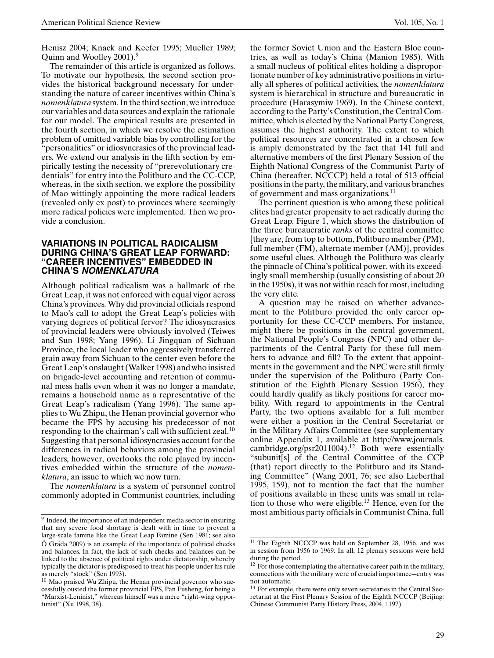Henisz 2004; Knack and Keefer 1995; Mueller 1989; Quinn and Woolley 2001).<sup>9</sup>

The remainder of this article is organized as follows. To motivate our hypothesis, the second section provides the historical background necessary for understanding the nature of career incentives within China's *nomenklatura* system. In the third section, we introduce our variables and data sources and explain the rationale for our model. The empirical results are presented in the fourth section, in which we resolve the estimation problem of omitted variable bias by controlling for the "personalities" or idiosyncrasies of the provincial leaders. We extend our analysis in the fifth section by empirically testing the necessity of "prerevolutionary credentials" for entry into the Politburo and the CC-CCP, whereas, in the sixth section, we explore the possibility of Mao wittingly appointing the more radical leaders (revealed only ex post) to provinces where seemingly more radical policies were implemented. Then we provide a conclusion.

## **VARIATIONS IN POLITICAL RADICALISM DURING CHINA'S GREAT LEAP FORWARD: "CAREER INCENTIVES" EMBEDDED IN CHINA'S NOMENKLATURA**

Although political radicalism was a hallmark of the Great Leap, it was not enforced with equal vigor across China's provinces. Why did provincial officials respond to Mao's call to adopt the Great Leap's policies with varying degrees of political fervor? The idiosyncrasies of provincial leaders were obviously involved (Teiwes and Sun 1998; Yang 1996). Li Jingquan of Sichuan Province, the local leader who aggressively transferred grain away from Sichuan to the center even before the Great Leap's onslaught (Walker 1998) and who insisted on brigade-level accounting and retention of communal mess halls even when it was no longer a mandate, remains a household name as a representative of the Great Leap's radicalism (Yang 1996). The same applies to Wu Zhipu, the Henan provincial governor who became the FPS by accusing his predecessor of not responding to the chairman's call with sufficient zeal.<sup>10</sup> Suggesting that personal idiosyncrasies account for the differences in radical behaviors among the provincial leaders, however, overlooks the role played by incentives embedded within the structure of the *nomenklatura*, an issue to which we now turn.

The *nomenklatura* is a system of personnel control commonly adopted in Communist countries, including

the former Soviet Union and the Eastern Bloc countries, as well as today's China (Manion 1985). With a small nucleus of political elites holding a disproportionate number of key administrative positions in virtually all spheres of political activities, the *nomenklatura* system is hierarchical in structure and bureaucratic in procedure (Harasymiw 1969). In the Chinese context, according to the Party's Constitution, the Central Committee, which is elected by the National Party Congress, assumes the highest authority. The extent to which political resources are concentrated in a chosen few is amply demonstrated by the fact that 141 full and alternative members of the first Plenary Session of the Eighth National Congress of the Communist Party of China (hereafter, NCCCP) held a total of 513 official positions in the party, the military, and various branches of government and mass organizations.<sup>11</sup>

The pertinent question is who among these political elites had greater propensity to act radically during the Great Leap. Figure 1, which shows the distribution of the three bureaucratic *ranks* of the central committee [they are, from top to bottom, Politburo member (PM), full member (FM), alternate member (AM)], provides some useful clues. Although the Politburo was clearly the pinnacle of China's political power, with its exceedingly small membership (usually consisting of about 20 in the 1950s), it was not within reach for most, including the very elite.

A question may be raised on whether advancement to the Politburo provided the only career opportunity for these CC-CCP members. For instance, might there be positions in the central government, the National People's Congress (NPC) and other departments of the Central Party for these full members to advance and fill? To the extent that appointments in the government and the NPC were still firmly under the supervision of the Politburo (Party Constitution of the Eighth Plenary Session 1956), they could hardly qualify as likely positions for career mobility. With regard to appointments in the Central Party, the two options available for a full member were either a position in the Central Secretariat or in the Military Affairs Committee (see supplementary online Appendix 1, available at http://www.journals. cambridge.org/psr2011004).<sup>12</sup> Both were essentially "subunit[s] of the Central Committee of the CCP (that) report directly to the Politburo and its Standing Committee" (Wang 2001, 76; see also Lieberthal 1995, 159), not to mention the fact that the number of positions available in these units was small in relation to those who were eligible.<sup>13</sup> Hence, even for the most ambitious party officials in Communist China, full

 $9$  Indeed, the importance of an independent media sector in ensuring that any severe food shortage is dealt with in time to prevent a large-scale famine like the Great Leap Famine (Sen 1981; see also  $\acute{o}$  Gráda 2009) is an example of the importance of political checks and balances. In fact, the lack of such checks and balances can be linked to the absence of political rights under dictatorship, whereby typically the dictator is predisposed to treat his people under his rule as merely "stock" (Sen 1993).

<sup>10</sup> Mao praised Wu Zhipu, the Henan provincial governor who successfully ousted the former provincial FPS, Pan Fusheng, for being a "Marxist-Leninist," whereas himself was a mere "right-wing opportunist" (Xu 1998, 38).

<sup>&</sup>lt;sup>11</sup> The Eighth NCCCP was held on September 28, 1956, and was in session from 1956 to 1969. In all, 12 plenary sessions were held during the period.

<sup>&</sup>lt;sup>12</sup> For those contemplating the alternative career path in the military, connections with the military were of crucial importance—entry was not automatic.

<sup>&</sup>lt;sup>13</sup> For example, there were only seven secretaries in the Central Secretariat at the First Plenary Session of the Eighth NCCCP (Beijing: Chinese Communist Party History Press, 2004, 1197).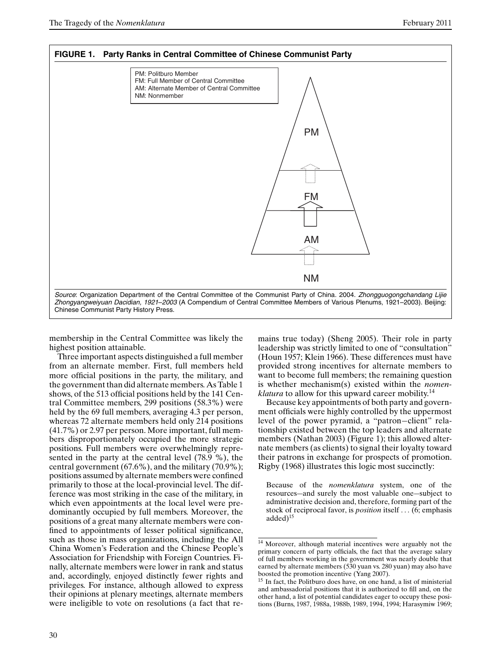

membership in the Central Committee was likely the highest position attainable.

Three important aspects distinguished a full member from an alternate member. First, full members held more official positions in the party, the military, and the government than did alternate members. As Table 1 shows, of the 513 official positions held by the 141 Central Committee members, 299 positions (58.3%) were held by the 69 full members, averaging 4.3 per person, whereas 72 alternate members held only 214 positions (41.7%) or 2.97 per person. More important, full members disproportionately occupied the more strategic positions. Full members were overwhelmingly represented in the party at the central level (78.9 %), the central government (67.6%), and the military (70.9%); positions assumed by alternate members were confined primarily to those at the local-provincial level. The difference was most striking in the case of the military, in which even appointments at the local level were predominantly occupied by full members. Moreover, the positions of a great many alternate members were confined to appointments of lesser political significance, such as those in mass organizations, including the All China Women's Federation and the Chinese People's Association for Friendship with Foreign Countries. Finally, alternate members were lower in rank and status and, accordingly, enjoyed distinctly fewer rights and privileges. For instance, although allowed to express their opinions at plenary meetings, alternate members were ineligible to vote on resolutions (a fact that remains true today) (Sheng 2005). Their role in party leadership was strictly limited to one of "consultation" (Houn 1957; Klein 1966). These differences must have provided strong incentives for alternate members to want to become full members; the remaining question is whether mechanism(s) existed within the *nomenklatura* to allow for this upward career mobility.<sup>14</sup>

Because key appointments of both party and government officials were highly controlled by the uppermost level of the power pyramid, a "patron−client" relationship existed between the top leaders and alternate members (Nathan 2003) (Figure 1); this allowed alternate members (as clients) to signal their loyalty toward their patrons in exchange for prospects of promotion. Rigby (1968) illustrates this logic most succinctly:

Because of the *nomenklatura* system, one of the resources—and surely the most valuable one—subject to administrative decision and, therefore, forming part of the stock of reciprocal favor, is *position* itself *...* (6; emphasis  $added)$ <sup>15</sup>

<sup>14</sup> Moreover, although material incentives were arguably not the primary concern of party officials, the fact that the average salary of full members working in the government was nearly double that earned by alternate members (530 yuan vs. 280 yuan) may also have boosted the promotion incentive (Yang 2007).

<sup>&</sup>lt;sup>15</sup> In fact, the Politburo does have, on one hand, a list of ministerial and ambassadorial positions that it is authorized to fill and, on the other hand, a list of potential candidates eager to occupy these positions (Burns, 1987, 1988a, 1988b, 1989, 1994, 1994; Harasymiw 1969;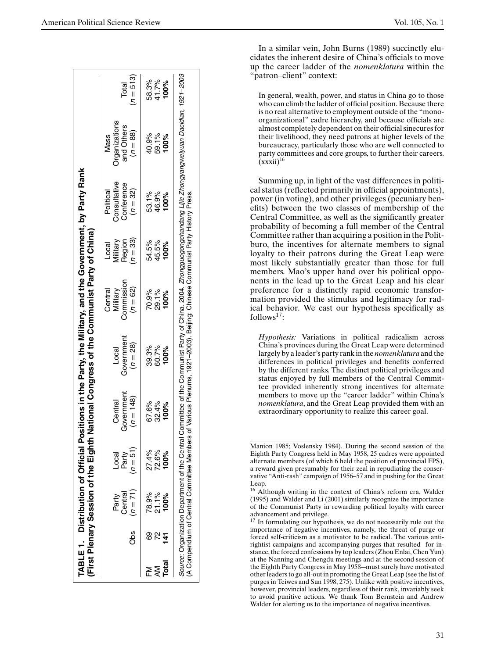| American Political Science Review |  |  |
|-----------------------------------|--|--|
|-----------------------------------|--|--|

|             |           |                                | TABLE 1. Distribution of Official Po<br>(First Plenary Session of the Eighth                |                                      | ositions in the Party, the Military, and the Government, by Party Rank<br>National Congress of the Communist Party of China) |                                                 |                                                            |                                                       |                                                                                                                  |                        |
|-------------|-----------|--------------------------------|---------------------------------------------------------------------------------------------|--------------------------------------|------------------------------------------------------------------------------------------------------------------------------|-------------------------------------------------|------------------------------------------------------------|-------------------------------------------------------|------------------------------------------------------------------------------------------------------------------|------------------------|
|             | Obs       | $(n = 71)$<br>Central<br>Party | $(n = 51)$<br>$\sf Local$<br>Party                                                          | Government<br>$(n = 148)$<br>Central | Government<br>$(n = 28)$<br>$\overline{\text{local}}$                                                                        | Commission<br>$(n = 62)$<br>Military<br>Central | $n = 33$<br>Military<br>Region<br>$\overline{\phantom{a}}$ | Consultative<br>Conference<br>$(n = 32)$<br>Political | <b>Organizations</b><br>and Others<br>$(n = 88)$<br>Mass                                                         | $(n = 513)$<br>Total   |
| Total<br>ΜV | 89<br>141 | 78.9%<br>21.1%<br>100%         | 27.4%<br>72.6%<br>100%                                                                      | 67.6%<br>32.4%<br>100%               | 39.3%<br>60.7%<br>100%                                                                                                       | 70.9%<br>29.1%<br>100%                          | 54.5%<br>45.5%<br>100%                                     | 53.1%<br>46.9%<br>100%                                | 40.9%<br>59.1%<br>100%                                                                                           | 58.3%<br>41.7%<br>100% |
|             |           |                                | A Compendium of Central Committee Members<br>Source: Organization Department of the Central |                                      | of Various Plenums, 1921-2003). Beijing: Chinese Communist Party History Press                                               |                                                 |                                                            |                                                       | Committee of the Communist Party of China. 2004. Zhongguogongchandang Lijie Zhongyangweiyuan Dacidian, 1921-2003 |                        |

In a similar vein, John Burns (1989) succinctly elucidates the inherent desire of China's officials to move up the career ladder of the *nomenklatura* within the "patron–client" context:

In general, wealth, power, and status in China go to those who can climb the ladder of official position. Because there is no real alternative to employment outside of the "monoorganizational" cadre hierarchy, and because officials are almost completely dependent on their official sinecures for their livelihood, they need patrons at higher levels of the bureaucracy, particularly those who are well connected to party committees and core groups, to further their careers.  $(xxxii)^{16}$ 

Summing up, in light of the vast differences in political status (reflected primarily in official appointments), power (in voting), and other privileges (pecuniary benefits) between the two classes of membership of the Central Committee, as well as the significantly greater probability of becoming a full member of the Central Committee rather than acquiring a position in the Politburo, the incentives for alternate members to signal loyalty to their patrons during the Great Leap were most likely substantially greater than those for full members. Mao's upper hand over his political opponents in the lead up to the Great Leap and his clear preference for a distinctly rapid economic transformation provided the stimulus and legitimacy for radical behavior. We cast our hypothesis specifically as follows $17$ :

*Hypothesis:* Variations in political radicalism across China's provinces during the Great Leap were determined largely by a leader's party rank in the *nomenklatura* and the differences in political privileges and benefits conferred by the different ranks. The distinct political privileges and status enjoyed by full members of the Central Committee provided inherently strong incentives for alternate members to move up the "career ladder" within China's *nomenklatura*, and the Great Leap provided them with an extraordinary opportunity to realize this career goal.

Manion 1985; Voslensky 1984). During the second session of the Eighth Party Congress held in May 1958, 25 cadres were appointed alternate members (of which 6 held the position of provincial FPS), a reward given presumably for their zeal in repudiating the conservative "Anti-rash" campaign of 1956–57 and in pushing for the Great Leap.

<sup>&</sup>lt;sup>16</sup> Although writing in the context of China's reform era, Walder (1995) and Walder and Li (2001) similarly recognize the importance of the Communist Party in rewarding political loyalty with career advancement and privilege.

<sup>&</sup>lt;sup>17</sup> In formulating our hypothesis, we do not necessarily rule out the importance of negative incentives, namely, the threat of purge or forced self-criticism as a motivator to be radical. The various antirightist campaigns and accompanying purges that resulted—for instance, the forced confessions by top leaders (Zhou Enlai, Chen Yun) at the Nanning and Chengdu meetings and at the second session of the Eighth Party Congress in May 1958—must surely have motivated other leaders to go all-out in promoting the Great Leap (see the list of purges in Teiwes and Sun 1998, 275). Unlike with positive incentives, however, provincial leaders, regardless of their rank, invariably seek to avoid punitive actions. We thank Tom Bernstein and Andrew Walder for alerting us to the importance of negative incentives.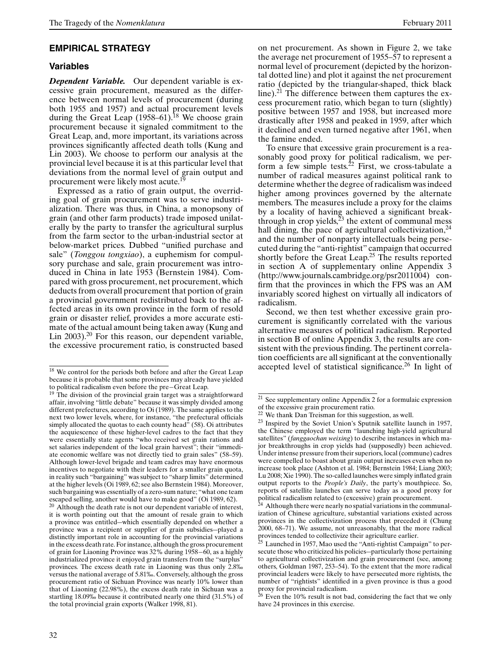# **EMPIRICAL STRATEGY**

## **Variables**

*Dependent Variable.* Our dependent variable is excessive grain procurement, measured as the difference between normal levels of procurement (during both 1955 and 1957) and actual procurement levels during the Great Leap  $(1958-61).$ <sup>18</sup> We choose grain procurement because it signaled commitment to the Great Leap, and, more important, its variations across provinces significantly affected death tolls (Kung and Lin 2003). We choose to perform our analysis at the provincial level because it is at this particular level that deviations from the normal level of grain output and procurement were likely most acute.<sup>19</sup>

Expressed as a ratio of grain output, the overriding goal of grain procurement was to serve industrialization. There was thus, in China, a monopsony of grain (and other farm products) trade imposed unilaterally by the party to transfer the agricultural surplus from the farm sector to the urban-industrial sector at below-market prices. Dubbed "unified purchase and sale" (*Tonggou tongxiao*), a euphemism for compulsory purchase and sale, grain procurement was introduced in China in late 1953 (Bernstein 1984). Compared with gross procurement, net procurement, which deducts from overall procurement that portion of grain a provincial government redistributed back to the affected areas in its own province in the form of resold grain or disaster relief, provides a more accurate estimate of the actual amount being taken away (Kung and Lin  $2003$ ).<sup>20</sup> For this reason, our dependent variable, the excessive procurement ratio, is constructed based on net procurement. As shown in Figure 2, we take the average net procurement of 1955–57 to represent a normal level of procurement (depicted by the horizontal dotted line) and plot it against the net procurement ratio (depicted by the triangular-shaped, thick black line).<sup>21</sup> The difference between them captures the excess procurement ratio, which began to turn (slightly) positive between 1957 and 1958, but increased more drastically after 1958 and peaked in 1959, after which it declined and even turned negative after 1961, when the famine ended.

To ensure that excessive grain procurement is a reasonably good proxy for political radicalism, we perform a few simple tests.<sup>22</sup> First, we cross-tabulate a number of radical measures against political rank to determine whether the degree of radicalism was indeed higher among provinces governed by the alternate members. The measures include a proxy for the claims by a locality of having achieved a significant breakthrough in crop yields, $^{23}$  the extent of communal mess hall dining, the pace of agricultural collectivization,  $24$ and the number of nonparty intellectuals being persecuted during the "anti-rightist" campaign that occurred shortly before the Great Leap.25 The results reported in section A of supplementary online Appendix 3 (http://www.journals.cambridge.org/psr2011004) confirm that the provinces in which the FPS was an AM invariably scored highest on virtually all indicators of radicalism.

Second, we then test whether excessive grain procurement is significantly correlated with the various alternative measures of political radicalism. Reported in section B of online Appendix 3, the results are consistent with the previous finding. The pertinent correlation coefficients are all significant at the conventionally accepted level of statistical significance.<sup>26</sup> In light of

<sup>&</sup>lt;sup>18</sup> We control for the periods both before and after the Great Leap because it is probable that some provinces may already have yielded to political radicalism even before the pre-Great Leap.

<sup>&</sup>lt;sup>19</sup> The division of the provincial grain target was a straightforward affair, involving "little debate" because it was simply divided among different prefectures, according to Oi (1989). The same applies to the next two lower levels, where, for instance, "the prefectural officials simply allocated the quotas to each county head" (58). Oi attributes the acquiescence of these higher-level cadres to the fact that they were essentially state agents "who received set grain rations and set salaries independent of the local grain harvest"; their "immediate economic welfare was not directly tied to grain sales" (58–59). Although lower-level brigade and team cadres may have enormous incentives to negotiate with their leaders for a smaller grain quota, in reality such "bargaining" was subject to "sharp limits" determined at the higher levels (Oi 1989, 62; see also Bernstein 1984). Moreover, such bargaining was essentially of a zero-sum nature; "what one team escaped selling, another would have to make good" (Oi 1989, 62).

<sup>&</sup>lt;sup>20</sup> Although the death rate is not our dependent variable of interest, it is worth pointing out that the amount of resale grain to which a province was entitled—which essentially depended on whether a province was a recipient or supplier of grain subsidies—played a distinctly important role in accounting for the provincial variations in the excess death rate. For instance, although the gross procurement of grain for Liaoning Province was 32% during 1958−60, as a highly industrialized province it enjoyed grain transfers from the "surplus" provinces. The excess death rate in Liaoning was thus only 2.8‰ versus the national average of 5.81‰. Conversely, although the gross procurement ratio of Sichuan Province was nearly 10% lower than that of Liaoning (22.98%), the excess death rate in Sichuan was a startling 18.09‰ because it contributed nearly one third (31.5%) of the total provincial grain exports (Walker 1998, 81).

<sup>21</sup> See supplementary online Appendix 2 for a formulaic expression of the excessive grain procurement ratio.

<sup>22</sup> We thank Dan Treisman for this suggestion, as well.

<sup>23</sup> Inspired by the Soviet Union's Sputnik satellite launch in 1957, the Chinese employed the term "launching high-yield agricultural satellites" (*fanggaochan weixing*) to describe instances in which major breakthroughs in crop yields had (supposedly) been achieved. Under intense pressure from their superiors, local (commune) cadres were compelled to boast about grain output increases even when no increase took place (Ashton et al. 1984; Bernstein 1984; Liang 2003; Lu 2008; Xie 1990). The so-called launches were simply inflated grain output reports to the *People's Daily*, the party's mouthpiece. So, reports of satellite launches can serve today as a good proxy for political radicalism related to (excessive) grain procurement.

 $24$  Although there were nearly no spatial variations in the communalization of Chinese agriculture, substantial variations existed across provinces in the collectivization process that preceded it (Chung 2000, 68–71). We assume, not unreasonably, that the more radical provinces tended to collectivize their agriculture earlier.<br>25 I annohed in 1057 M.

Launched in 1957, Mao used the "Anti-rightist Campaign" to persecute those who criticized his policies—particularly those pertaining to agricultural collectivization and grain procurement (see, among others, Goldman 1987, 253–54). To the extent that the more radical provincial leaders were likely to have persecuted more rightists, the number of "rightists" identified in a given province is thus a good proxy for provincial radicalism.

 $26$  Even the 10% result is not bad, considering the fact that we only have 24 provinces in this exercise.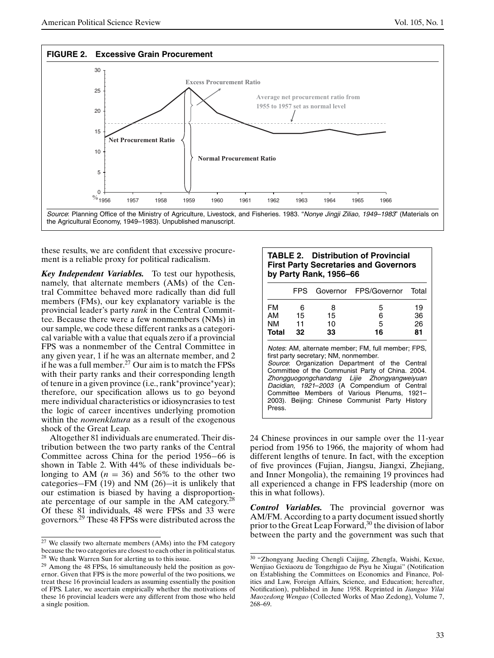

these results, we are confident that excessive procurement is a reliable proxy for political radicalism.

*Key Independent Variables.* To test our hypothesis, namely, that alternate members (AMs) of the Central Committee behaved more radically than did full members (FMs), our key explanatory variable is the provincial leader's party *rank* in the Central Committee. Because there were a few nonmembers (NMs) in our sample, we code these different ranks as a categorical variable with a value that equals zero if a provincial FPS was a nonmember of the Central Committee in any given year, 1 if he was an alternate member, and 2 if he was a full member.<sup>27</sup> Our aim is to match the FPSs with their party ranks and their corresponding length of tenure in a given province (i.e., rank∗province∗year); therefore, our specification allows us to go beyond mere individual characteristics or idiosyncrasies to test the logic of career incentives underlying promotion within the *nomenklatura* as a result of the exogenous shock of the Great Leap.

Altogether 81 individuals are enumerated. Their distribution between the two party ranks of the Central Committee across China for the period 1956−66 is shown in Table 2. With 44% of these individuals belonging to AM  $(n = 36)$  and 56% to the other two categories—FM (19) and NM (26)—it is unlikely that our estimation is biased by having a disproportionate percentage of our sample in the AM category.<sup>28</sup> Of these 81 individuals, 48 were FPSs and 33 were governors.29 These 48 FPSs were distributed across the

## **TABLE 2. Distribution of Provincial First Party Secretaries and Governors by Party Rank, 1956–66**

|                                                                                                                                                                                                                                                                                                                                                                                                                      |    |    | FPS Governor FPS/Governor | Total |  |  |
|----------------------------------------------------------------------------------------------------------------------------------------------------------------------------------------------------------------------------------------------------------------------------------------------------------------------------------------------------------------------------------------------------------------------|----|----|---------------------------|-------|--|--|
| FM                                                                                                                                                                                                                                                                                                                                                                                                                   | 6  | 8  | 5                         | 19    |  |  |
| AМ                                                                                                                                                                                                                                                                                                                                                                                                                   | 15 | 15 | 6                         | 36    |  |  |
| <b>NM</b>                                                                                                                                                                                                                                                                                                                                                                                                            | 11 | 10 | 5                         | 26    |  |  |
| Total                                                                                                                                                                                                                                                                                                                                                                                                                | 32 | 33 | 16                        | 81    |  |  |
| <i>Notes</i> : AM, alternate member; FM, full member; FPS,<br>first party secretary; NM, nonmember.<br>Source: Organization Department of the Central<br>Committee of the Communist Party of China. 2004.<br>Zhongguogongchandang Lijie Zhongyangweiyuan<br>Dacidian, 1921-2003 (A Compendium of Central<br>Committee Members of Various Plenums, 1921-<br>2003). Beijing: Chinese Communist Party History<br>Press. |    |    |                           |       |  |  |

24 Chinese provinces in our sample over the 11-year period from 1956 to 1966, the majority of whom had different lengths of tenure. In fact, with the exception of five provinces (Fujian, Jiangsu, Jiangxi, Zhejiang, and Inner Mongolia), the remaining 19 provinces had all experienced a change in FPS leadership (more on this in what follows).

*Control Variables.* The provincial governor was AM/FM. According to a party document issued shortly prior to the Great Leap Forward,<sup>30</sup> the division of labor between the party and the government was such that

 $27$  We classify two alternate members (AMs) into the FM category because the two categories are closest to each other in political status. <sup>28</sup> We thank Warren Sun for alerting us to this issue.

<sup>29</sup> Among the 48 FPSs, 16 simultaneously held the position as governor. Given that FPS is the more powerful of the two positions, we treat these 16 provincial leaders as assuming essentially the position of FPS. Later, we ascertain empirically whether the motivations of these 16 provincial leaders were any different from those who held a single position.

<sup>30</sup> "Zhongyang Jueding Chengli Caijing, Zhengfa, Waishi, Kexue, Wenjiao Gexiaozu de Tongzhigao de Piyu he Xiugai" (Notification on Establishing the Committees on Economics and Finance, Politics and Law, Foreign Affairs, Science, and Education; hereafter, Notification), published in June 1958. Reprinted in *Jianguo Yilai Maozedong Wengao* (Collected Works of Mao Zedong), Volume 7, 268–69.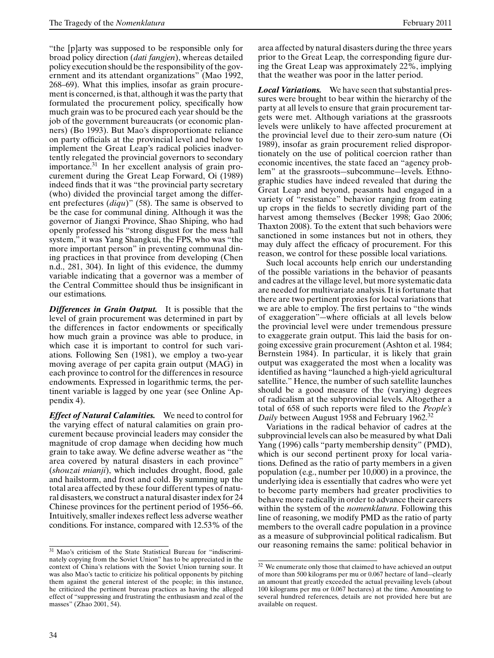"the [p]arty was supposed to be responsible only for broad policy direction (*dati fangjen*), whereas detailed policy execution should be the responsibility of the government and its attendant organizations" (Mao 1992, 268–69). What this implies, insofar as grain procurement is concerned, is that, although it was the party that formulated the procurement policy, specifically how much grain was to be procured each year should be the job of the government bureaucrats (or economic planners) (Bo 1993). But Mao's disproportionate reliance on party officials at the provincial level and below to implement the Great Leap's radical policies inadvertently relegated the provincial governors to secondary importance. $31$  In her excellent analysis of grain procurement during the Great Leap Forward, Oi (1989) indeed finds that it was "the provincial party secretary (who) divided the provincial target among the different prefectures (*diqu*)" (58). The same is observed to be the case for communal dining. Although it was the governor of Jiangxi Province, Shao Shiping, who had openly professed his "strong disgust for the mess hall system," it was Yang Shangkui, the FPS, who was "the more important person" in preventing communal dining practices in that province from developing (Chen n.d., 281, 304). In light of this evidence, the dummy variable indicating that a governor was a member of the Central Committee should thus be insignificant in our estimations.

*Differences in Grain Output.* It is possible that the level of grain procurement was determined in part by the differences in factor endowments or specifically how much grain a province was able to produce, in which case it is important to control for such variations. Following Sen (1981), we employ a two-year moving average of per capita grain output (MAG) in each province to control for the differences in resource endowments. Expressed in logarithmic terms, the pertinent variable is lagged by one year (see Online Appendix 4).

*Effect of Natural Calamities.* We need to control for the varying effect of natural calamities on grain procurement because provincial leaders may consider the magnitude of crop damage when deciding how much grain to take away. We define adverse weather as "the area covered by natural disasters in each province" (*shouzai mianji*), which includes drought, flood, gale and hailstorm, and frost and cold. By summing up the total area affected by these four different types of natural disasters, we construct a natural disaster index for 24 Chinese provinces for the pertinent period of 1956–66. Intuitively, smaller indexes reflect less adverse weather conditions. For instance, compared with 12.53% of the area affected by natural disasters during the three years prior to the Great Leap, the corresponding figure during the Great Leap was approximately 22%, implying that the weather was poor in the latter period.

*Local Variations.* We have seen that substantial pressures were brought to bear within the hierarchy of the party at all levels to ensure that grain procurement targets were met. Although variations at the grassroots levels were unlikely to have affected procurement at the provincial level due to their zero-sum nature (Oi 1989), insofar as grain procurement relied disproportionately on the use of political coercion rather than economic incentives, the state faced an "agency problem" at the grassroots—subcommune—levels. Ethnographic studies have indeed revealed that during the Great Leap and beyond, peasants had engaged in a variety of "resistance" behavior ranging from eating up crops in the fields to secretly dividing part of the harvest among themselves (Becker 1998; Gao 2006; Thaxton 2008). To the extent that such behaviors were sanctioned in some instances but not in others, they may duly affect the efficacy of procurement. For this reason, we control for these possible local variations.

Such local accounts help enrich our understanding of the possible variations in the behavior of peasants and cadres at the village level, but more systematic data are needed for multivariate analysis. It is fortunate that there are two pertinent proxies for local variations that we are able to employ. The first pertains to "the winds of exaggeration"—where officials at all levels below the provincial level were under tremendous pressure to exaggerate grain output. This laid the basis for ongoing excessive grain procurement (Ashton et al. 1984; Bernstein 1984). In particular, it is likely that grain output was exaggerated the most when a locality was identified as having "launched a high-yield agricultural satellite." Hence, the number of such satellite launches should be a good measure of the (varying) degrees of radicalism at the subprovincial levels. Altogether a total of 658 of such reports were filed to the *People's Daily* between August 1958 and February 1962.<sup>32</sup>

Variations in the radical behavior of cadres at the subprovincial levels can also be measured by what Dali Yang (1996) calls "party membership density" (PMD), which is our second pertinent proxy for local variations. Defined as the ratio of party members in a given population (e.g., number per 10,000) in a province, the underlying idea is essentially that cadres who were yet to become party members had greater proclivities to behave more radically in order to advance their careers within the system of the *nomenklatura*. Following this line of reasoning, we modify PMD as the ratio of party members to the overall cadre population in a province as a measure of subprovincial political radicalism. But our reasoning remains the same: political behavior in

<sup>31</sup> Mao's criticism of the State Statistical Bureau for "indiscriminately copying from the Soviet Union" has to be appreciated in the context of China's relations with the Soviet Union turning sour. It was also Mao's tactic to criticize his political opponents by pitching them against the general interest of the people; in this instance, he criticized the pertinent bureau practices as having the alleged effect of "suppressing and frustrating the enthusiasm and zeal of the masses" (Zhao 2001, 54).

<sup>32</sup> We enumerate only those that claimed to have achieved an output of more than 500 kilograms per mu or 0.067 hectare of land—clearly an amount that greatly exceeded the actual prevailing levels (about 100 kilograms per mu or 0.067 hectares) at the time. Amounting to several hundred references, details are not provided here but are available on request.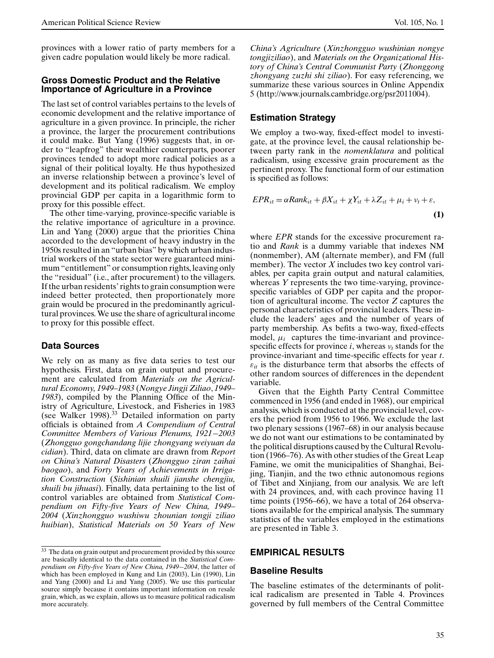provinces with a lower ratio of party members for a given cadre population would likely be more radical.

#### **Gross Domestic Product and the Relative Importance of Agriculture in a Province**

The last set of control variables pertains to the levels of economic development and the relative importance of agriculture in a given province. In principle, the richer a province, the larger the procurement contributions it could make. But Yang (1996) suggests that, in order to "leapfrog" their wealthier counterparts, poorer provinces tended to adopt more radical policies as a signal of their political loyalty. He thus hypothesized an inverse relationship between a province's level of development and its political radicalism. We employ provincial GDP per capita in a logarithmic form to proxy for this possible effect.

The other time-varying, province-specific variable is the relative importance of agriculture in a province. Lin and Yang (2000) argue that the priorities China accorded to the development of heavy industry in the 1950s resulted in an "urban bias" by which urban industrial workers of the state sector were guaranteed minimum "entitlement" or consumption rights, leaving only the "residual" (i.e., after procurement) to the villagers. If the urban residents' rights to grain consumption were indeed better protected, then proportionately more grain would be procured in the predominantly agricultural provinces. We use the share of agricultural income to proxy for this possible effect.

### **Data Sources**

We rely on as many as five data series to test our hypothesis. First, data on grain output and procurement are calculated from *Materials on the Agricultural Economy, 1949–1983* (*Nongye Jingji Ziliao*, *1949– 1983*), compiled by the Planning Office of the Ministry of Agriculture, Livestock, and Fisheries in 1983 (see Walker 1998).<sup>33</sup> Detailed information on party officials is obtained from *A Compendium of Central Committee Members of Various Plenums, 1921*−*2003* (*Zhongguo gongchandang lijie zhongyang weiyuan da cidian*). Third, data on climate are drawn from *Report on China's Natural Disasters* (*Zhongguo ziran zaihai baogao*), and *Forty Years of Achievements in Irrigation Construction* (*Sishinian shuili jianshe chengjiu, shuili bu jihuasi*). Finally, data pertaining to the list of control variables are obtained from *Statistical Compendium on Fifty-five Years of New China, 1949– 2004* (*Xinzhongguo wushiwu zhounian tongji ziliao huibian*), *Statistical Materials on 50 Years of New*

*China's Agriculture* (*Xinzhongguo wushinian nongye tongjiziliao*), and *Materials on the Organizational History of China's Central Communist Party* (*Zhonggong zhongyang zuzhi shi ziliao*). For easy referencing, we summarize these various sources in Online Appendix 5 (http://www.journals.cambridge.org/psr2011004).

#### **Estimation Strategy**

We employ a two-way, fixed-effect model to investigate, at the province level, the causal relationship between party rank in the *nomenklatura* and political radicalism, using excessive grain procurement as the pertinent proxy. The functional form of our estimation is specified as follows:

$$
EPR_{it} = \alpha Rank_{it} + \beta X_{it} + \chi Y_{it} + \lambda Z_{it} + \mu_i + \nu_t + \varepsilon,
$$
\n(1)

where *EPR* stands for the excessive procurement ratio and *Rank* is a dummy variable that indexes NM (nonmember), AM (alternate member), and FM (full member). The vector *X* includes two key control variables, per capita grain output and natural calamities, whereas *Y* represents the two time-varying, provincespecific variables of GDP per capita and the proportion of agricultural income. The vector *Z* captures the personal characteristics of provincial leaders. These include the leaders' ages and the number of years of party membership. As befits a two-way, fixed-effects model,  $\mu_i$  captures the time-invariant and provincespecific effects for province *i*, whereas *ν<sup>t</sup>* stands for the province-invariant and time-specific effects for year *t*.  $\varepsilon_{it}$  is the disturbance term that absorbs the effects of other random sources of differences in the dependent variable.

Given that the Eighth Party Central Committee commenced in 1956 (and ended in 1968), our empirical analysis, which is conducted at the provincial level, covers the period from 1956 to 1966. We exclude the last two plenary sessions (1967–68) in our analysis because we do not want our estimations to be contaminated by the political disruptions caused by the Cultural Revolution (1966–76). As with other studies of the Great Leap Famine, we omit the municipalities of Shanghai, Beijing, Tianjin, and the two ethnic autonomous regions of Tibet and Xinjiang, from our analysis. We are left with 24 provinces, and, with each province having 11 time points (1956–66), we have a total of 264 observations available for the empirical analysis. The summary statistics of the variables employed in the estimations are presented in Table 3.

## **EMPIRICAL RESULTS**

#### **Baseline Results**

The baseline estimates of the determinants of political radicalism are presented in Table 4. Provinces governed by full members of the Central Committee

<sup>&</sup>lt;sup>33</sup> The data on grain output and procurement provided by this source are basically identical to the data contained in the *Statistical Compendium on Fifty-five Years of New China, 1949*−*2004*, the latter of which has been employed in Kung and Lin (2003), Lin (1990), Lin and Yang (2000) and Li and Yang (2005). We use this particular source simply because it contains important information on resale grain, which, as we explain, allows us to measure political radicalism more accurately.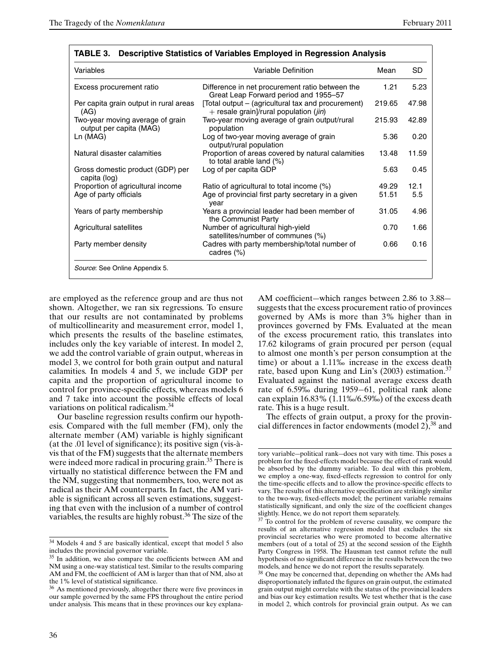| Variables                                                   | Variable Definition                                                                               | Mean   | <b>SD</b> |
|-------------------------------------------------------------|---------------------------------------------------------------------------------------------------|--------|-----------|
| Excess procurement ratio                                    | Difference in net procurement ratio between the<br>Great Leap Forward period and 1955-57          | 1.21   | 5.23      |
| Per capita grain output in rural areas<br>(AG)              | [Total output – (agricultural tax and procurement)<br>+ resale grain]/rural population ( $\sin$ ) | 219.65 | 47.98     |
| Two-year moving average of grain<br>output per capita (MAG) | Two-year moving average of grain output/rural<br>population                                       | 215.93 | 42.89     |
| Ln (MAG)                                                    | Log of two-year moving average of grain<br>output/rural population                                | 5.36   | 0.20      |
| Natural disaster calamities                                 | Proportion of areas covered by natural calamities<br>to total arable land $(\%)$                  | 13.48  | 11.59     |
| Gross domestic product (GDP) per<br>capita (log)            | Log of per capita GDP                                                                             | 5.63   | 0.45      |
| Proportion of agricultural income                           | Ratio of agricultural to total income (%)                                                         | 49.29  | 12.1      |
| Age of party officials                                      | Age of provincial first party secretary in a given<br>year                                        | 51.51  | 5.5       |
| Years of party membership                                   | Years a provincial leader had been member of<br>the Communist Party                               | 31.05  | 4.96      |
| Agricultural satellites                                     | Number of agricultural high-yield<br>satellites/number of communes (%)                            | 0.70   | 1.66      |
| Party member density                                        | Cadres with party membership/total number of<br>cadres $(\%)$                                     | 0.66   | 0.16      |
| Source: See Online Appendix 5.                              |                                                                                                   |        |           |

#### **TABLE 3. Descriptive Statistics of Variables Employed in Regression Analysis**

are employed as the reference group and are thus not shown. Altogether, we ran six regressions. To ensure that our results are not contaminated by problems of multicollinearity and measurement error, model 1, which presents the results of the baseline estimates, includes only the key variable of interest. In model 2, we add the control variable of grain output, whereas in model 3, we control for both grain output and natural calamities. In models 4 and 5, we include GDP per capita and the proportion of agricultural income to control for province-specific effects, whereas models 6 and 7 take into account the possible effects of local variations on political radicalism.<sup>34</sup>

Our baseline regression results confirm our hypothesis. Compared with the full member (FM), only the alternate member (AM) variable is highly significant (at the .01 level of significance); its positive sign (vis-a-` vis that of the FM) suggests that the alternate members were indeed more radical in procuring grain.<sup>35</sup> There is virtually no statistical difference between the FM and the NM, suggesting that nonmembers, too, were not as radical as their AM counterparts. In fact, the AM variable is significant across all seven estimations, suggesting that even with the inclusion of a number of control variables, the results are highly robust.<sup>36</sup> The size of the AM coefficient—which ranges between 2.86 to 3.88 suggests that the excess procurement ratio of provinces governed by AMs is more than 3% higher than in provinces governed by FMs. Evaluated at the mean of the excess procurement ratio, this translates into 17.62 kilograms of grain procured per person (equal to almost one month's per person consumption at the time) or about a 1.11‰ increase in the excess death rate, based upon Kung and Lin's  $(2003)$  estimation.<sup>37</sup> Evaluated against the national average excess death rate of 6.59‰ during 1959−61, political rank alone can explain 16.83% (1.11‰/6.59‰) of the excess death rate. This is a huge result.

The effects of grain output, a proxy for the provincial differences in factor endowments (model  $2<sup>38</sup>$  and

<sup>34</sup> Models 4 and 5 are basically identical, except that model 5 also includes the provincial governor variable.

<sup>&</sup>lt;sup>35</sup> In addition, we also compare the coefficients between AM and NM using a one-way statistical test. Similar to the results comparing AM and FM, the coefficient of AM is larger than that of NM, also at the 1% level of statistical significance.

<sup>36</sup> As mentioned previously, altogether there were five provinces in our sample governed by the same FPS throughout the entire period under analysis. This means that in these provinces our key explana-

tory variable—political rank—does not vary with time. This poses a problem for the fixed-effects model because the effect of rank would be absorbed by the dummy variable. To deal with this problem, we employ a one-way, fixed-effects regression to control for only the time-specific effects and to allow the province-specific effects to vary. The results of this alternative specification are strikingly similar to the two-way, fixed-effects model; the pertinent variable remains statistically significant, and only the size of the coefficient changes slightly. Hence, we do not report them separately.<br> $\frac{37}{20}$  control for the problem of reverse equality.

To control for the problem of reverse causality, we compare the results of an alternative regression model that excludes the six provincial secretaries who were promoted to become alternative members (out of a total of 25) at the second session of the Eighth Party Congress in 1958. The Hausman test cannot refute the null hypothesis of no significant difference in the results between the two models, and hence we do not report the results separately.

<sup>&</sup>lt;sup>38</sup> One may be concerned that, depending on whether the AMs had disproportionately inflated the figures on grain output, the estimated grain output might correlate with the status of the provincial leaders and bias our key estimation results. We test whether that is the case in model 2, which controls for provincial grain output. As we can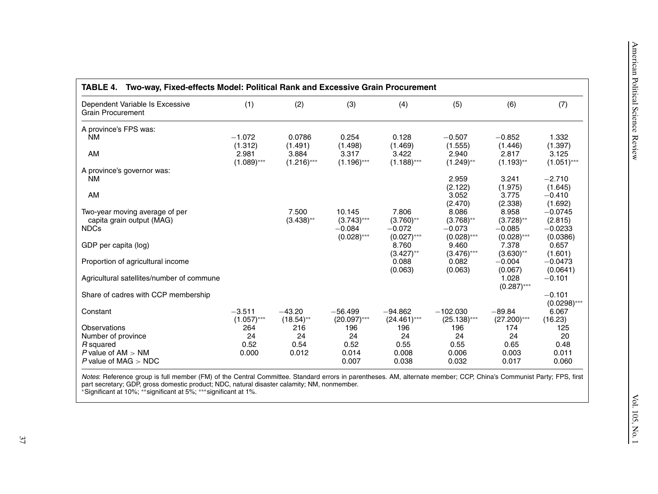| ٦<br>č |
|--------|
| ┍      |
|        |

| Dependent Variable Is Excessive<br><b>Grain Procurement</b>                                                                                                                                                                                                                                                                                                                                                                  | (1)                    | (2)                    | (3)                     | (4)                   | (5)                    | (6)                    | (7)                     |
|------------------------------------------------------------------------------------------------------------------------------------------------------------------------------------------------------------------------------------------------------------------------------------------------------------------------------------------------------------------------------------------------------------------------------|------------------------|------------------------|-------------------------|-----------------------|------------------------|------------------------|-------------------------|
| A province's FPS was:<br><b>NM</b>                                                                                                                                                                                                                                                                                                                                                                                           | $-1.072$               | 0.0786                 | 0.254                   | 0.128                 | $-0.507$               | $-0.852$               | 1.332                   |
|                                                                                                                                                                                                                                                                                                                                                                                                                              | (1.312)                | (1.491)                | (1.498)                 | (1.469)               | (1.555)                | (1.446)                | (1.397)                 |
| <b>AM</b>                                                                                                                                                                                                                                                                                                                                                                                                                    | 2.981<br>$(1.089)$ *** | 3.884<br>$(1.216)$ *** | 3.317<br>$(1.196)$ ***  | 3.422<br>$(1.188)***$ | 2.940<br>$(1.249)$ **  | 2.817<br>$(1.193)$ **  | 3.125<br>$(1.051)$ ***  |
| A province's governor was:                                                                                                                                                                                                                                                                                                                                                                                                   |                        |                        |                         |                       |                        |                        |                         |
| <b>NM</b>                                                                                                                                                                                                                                                                                                                                                                                                                    |                        |                        |                         |                       | 2.959<br>(2.122)       | 3.241<br>(1.975)       | $-2.710$<br>(1.645)     |
| AM                                                                                                                                                                                                                                                                                                                                                                                                                           |                        |                        |                         |                       | 3.052                  | 3.775                  | $-0.410$                |
|                                                                                                                                                                                                                                                                                                                                                                                                                              |                        |                        |                         |                       | (2.470)                | (2.338)                | (1.692)                 |
| Two-year moving average of per<br>capita grain output (MAG)                                                                                                                                                                                                                                                                                                                                                                  |                        | 7.500<br>$(3.438)$ **  | 10.145<br>$(3.743)$ *** | 7.806<br>$(3.760)$ ** | 8.086<br>$(3.768)$ **  | 8.958<br>$(3.728)$ **  | $-0.0745$<br>(2.815)    |
| <b>NDCs</b>                                                                                                                                                                                                                                                                                                                                                                                                                  |                        |                        | $-0.084$                | $-0.072$              | $-0.073$               | $-0.085$               | $-0.0233$               |
|                                                                                                                                                                                                                                                                                                                                                                                                                              |                        |                        | $(0.028)$ ***           | $(0.027)$ ***         | $(0.028)$ ***          | $(0.028)$ ***          | (0.0386)                |
| GDP per capita (log)                                                                                                                                                                                                                                                                                                                                                                                                         |                        |                        |                         | 8.760<br>$(3.427)$ ** | 9.460<br>$(3.476)$ *** | 7.378<br>$(3.630)$ **  | 0.657<br>(1.601)        |
| Proportion of agricultural income                                                                                                                                                                                                                                                                                                                                                                                            |                        |                        |                         | 0.088                 | 0.082                  | $-0.004$               | $-0.0473$               |
|                                                                                                                                                                                                                                                                                                                                                                                                                              |                        |                        |                         | (0.063)               | (0.063)                | (0.067)                | (0.0641)                |
| Agricultural satellites/number of commune                                                                                                                                                                                                                                                                                                                                                                                    |                        |                        |                         |                       |                        | 1.028<br>$(0.287)$ *** | $-0.101$                |
| Share of cadres with CCP membership                                                                                                                                                                                                                                                                                                                                                                                          |                        |                        |                         |                       |                        |                        | $-0.101$                |
| Constant                                                                                                                                                                                                                                                                                                                                                                                                                     | $-3.511$               | $-43.20$               | $-56.499$               | $-94.862$             | $-102.030$             | $-89.84$               | $(0.0298)$ ***<br>6.067 |
|                                                                                                                                                                                                                                                                                                                                                                                                                              | $(1.057)$ ***          | $(18.54)$ **           | $(20.097)$ ***          | $(24.461)$ ***        | $(25.138)***$          | $(27.200)$ ***         | (16.23)                 |
| <b>Observations</b>                                                                                                                                                                                                                                                                                                                                                                                                          | 264                    | 216                    | 196                     | 196                   | 196                    | 174                    | 125                     |
|                                                                                                                                                                                                                                                                                                                                                                                                                              |                        |                        |                         |                       |                        |                        |                         |
|                                                                                                                                                                                                                                                                                                                                                                                                                              |                        |                        |                         |                       |                        |                        |                         |
|                                                                                                                                                                                                                                                                                                                                                                                                                              |                        |                        | 0.007                   | 0.038                 | 0.032                  | 0.017                  | 0.060                   |
| Number of province<br>R squared<br>P value of $AM > NM$<br>P value of MAG $>$ NDC<br>Notes: Reference group is full member (FM) of the Central Committee. Standard errors in parentheses. AM, alternate member; CCP, China's Communist Party; FPS, first<br>part secretary; GDP, gross domestic product; NDC, natural disaster calamity; NM, nonmember.<br>*Significant at 10%; ** significant at 5%; *** significant at 1%. | 24<br>0.52<br>0.000    | 24<br>0.54<br>0.012    | 24<br>0.52<br>0.014     | 24<br>0.55<br>0.008   | 24<br>0.55<br>0.006    | 24<br>0.65<br>0.003    | 20<br>0.48<br>0.011     |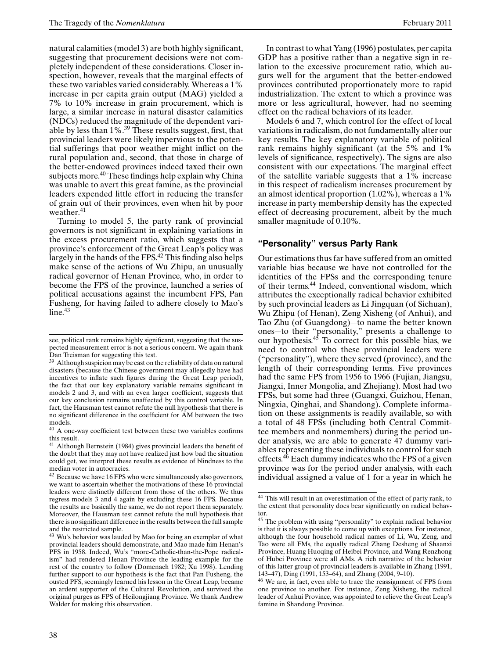natural calamities (model 3) are both highly significant, suggesting that procurement decisions were not completely independent of these considerations. Closer inspection, however, reveals that the marginal effects of these two variables varied considerably. Whereas a 1% increase in per capita grain output (MAG) yielded a 7% to 10% increase in grain procurement, which is large, a similar increase in natural disaster calamities (NDCs) reduced the magnitude of the dependent variable by less than 1%.<sup>39</sup> These results suggest, first, that provincial leaders were likely impervious to the potential sufferings that poor weather might inflict on the rural population and, second, that those in charge of the better-endowed provinces indeed taxed their own subjects more.<sup>40</sup> These findings help explain why China was unable to avert this great famine, as the provincial leaders expended little effort in reducing the transfer of grain out of their provinces, even when hit by poor weather.<sup>41</sup>

Turning to model 5, the party rank of provincial governors is not significant in explaining variations in the excess procurement ratio, which suggests that a province's enforcement of the Great Leap's policy was largely in the hands of the FPS.<sup>42</sup> This finding also helps make sense of the actions of Wu Zhipu, an unusually radical governor of Henan Province, who, in order to become the FPS of the province, launched a series of political accusations against the incumbent FPS, Pan Fusheng, for having failed to adhere closely to Mao's line. $43$ 

In contrast to what Yang (1996) postulates, per capita GDP has a positive rather than a negative sign in relation to the excessive procurement ratio, which augurs well for the argument that the better-endowed provinces contributed proportionately more to rapid industrialization. The extent to which a province was more or less agricultural, however, had no seeming effect on the radical behaviors of its leader.

Models 6 and 7, which control for the effect of local variations in radicalism, do not fundamentally alter our key results. The key explanatory variable of political rank remains highly significant (at the 5% and 1% levels of significance, respectively). The signs are also consistent with our expectations. The marginal effect of the satellite variable suggests that a 1% increase in this respect of radicalism increases procurement by an almost identical proportion (1.02%), whereas a 1% increase in party membership density has the expected effect of decreasing procurement, albeit by the much smaller magnitude of 0.10%.

# **"Personality" versus Party Rank**

Our estimations thus far have suffered from an omitted variable bias because we have not controlled for the identities of the FPSs and the corresponding tenure of their terms.<sup>44</sup> Indeed, conventional wisdom, which attributes the exceptionally radical behavior exhibited by such provincial leaders as Li Jingquan (of Sichuan), Wu Zhipu (of Henan), Zeng Xisheng (of Anhui), and Tao Zhu (of Guangdong)—to name the better known ones—to their "personality," presents a challenge to our hypothesis.<sup>45</sup> To correct for this possible bias, we need to control who these provincial leaders were ("personality"), where they served (province), and the length of their corresponding terms. Five provinces had the same FPS from 1956 to 1966 (Fujian, Jiangsu, Jiangxi, Inner Mongolia, and Zhejiang). Most had two FPSs, but some had three (Guangxi, Guizhou, Henan, Ningxia, Qinghai, and Shandong). Complete information on these assignments is readily available, so with a total of 48 FPSs (including both Central Committee members and nonmembers) during the period under analysis, we are able to generate 47 dummy variables representing these individuals to control for such effects.46 Each dummy indicates who the FPS of a given province was for the period under analysis, with each individual assigned a value of 1 for a year in which he

see, political rank remains highly significant, suggesting that the suspected measurement error is not a serious concern. We again thank Dan Treisman for suggesting this test.

 $39$  Although suspicion may be cast on the reliability of data on natural disasters (because the Chinese government may allegedly have had incentives to inflate such figures during the Great Leap period), the fact that our key explanatory variable remains significant in models 2 and 3, and with an even larger coefficient, suggests that our key conclusion remains unaffected by this control variable. In fact, the Hausman test cannot refute the null hypothesis that there is no significant difference in the coefficient for AM between the two models.

<sup>40</sup> A one-way coefficient test between these two variables confirms this result.

<sup>41</sup> Although Bernstein (1984) gives provincial leaders the benefit of the doubt that they may not have realized just how bad the situation could get, we interpret these results as evidence of blindness to the median voter in autocracies.

<sup>&</sup>lt;sup>42</sup> Because we have 16 FPS who were simultaneously also governors, we want to ascertain whether the motivations of these 16 provincial leaders were distinctly different from those of the others. We thus regress models 3 and 4 again by excluding these 16 FPS. Because the results are basically the same, we do not report them separately. Moreover, the Hausman test cannot refute the null hypothesis that there is no significant difference in the results between the full sample and the restricted sample.

<sup>43</sup> Wu's behavior was lauded by Mao for being an exemplar of what provincial leaders should demonstrate, and Mao made him Henan's PFS in 1958. Indeed, Wu's "more-Catholic-than-the-Pope radicalism" had rendered Henan Province the leading example for the rest of the country to follow (Domenach 1982; Xu 1998). Lending further support to our hypothesis is the fact that Pan Fusheng, the ousted PFS, seemingly learned his lesson in the Great Leap, became an ardent supporter of the Cultural Revolution, and survived the original purges as FPS of Heilongjiang Province. We thank Andrew Walder for making this observation.

<sup>44</sup> This will result in an overestimation of the effect of party rank, to the extent that personality does bear significantly on radical behavior.

<sup>45</sup> The problem with using "personality" to explain radical behavior is that it is always possible to come up with exceptions. For instance, although the four household radical names of Li, Wu, Zeng, and Tao were all FMs, the equally radical Zhang Desheng of Shaanxi Province, Huang Huoqing of Heibei Province, and Wang Renzhong of Hubei Province were all AMs. A rich narrative of the behavior of this latter group of provincial leaders is available in Zhang (1991, 143–47), Ding (1991, 153–64), and Zhang (2004, 9–10).

<sup>46</sup> We are, in fact, even able to trace the reassignment of FPS from one province to another. For instance, Zeng Xisheng, the radical leader of Anhui Province, was appointed to relieve the Great Leap's famine in Shandong Province.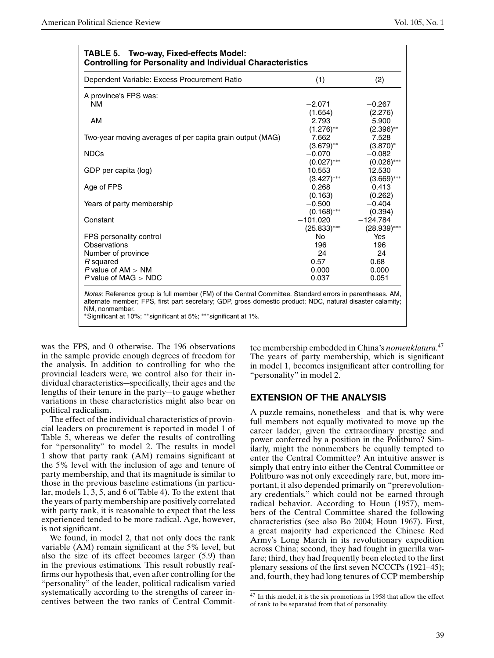| TABLE 5. Two-way, Fixed-effects Model:<br><b>Controlling for Personality and Individual Characteristics</b>                                                                                                                                                                                                  |                                  |                                  |
|--------------------------------------------------------------------------------------------------------------------------------------------------------------------------------------------------------------------------------------------------------------------------------------------------------------|----------------------------------|----------------------------------|
| Dependent Variable: Excess Procurement Ratio                                                                                                                                                                                                                                                                 | (1)                              | (2)                              |
| A province's FPS was:<br>NΜ                                                                                                                                                                                                                                                                                  | $-2.071$                         | $-0.267$                         |
| <b>AM</b>                                                                                                                                                                                                                                                                                                    | (1.654)<br>2.793<br>$(1.276)$ ** | (2.276)<br>5.900<br>$(2.396)$ ** |
| Two-year moving averages of per capita grain output (MAG)                                                                                                                                                                                                                                                    | 7.662<br>$(3.679)$ **            | 7.528<br>$(3.870)^*$             |
| <b>NDCs</b>                                                                                                                                                                                                                                                                                                  | $-0.070$<br>$(0.027)$ ***        | $-0.082$<br>$(0.026)$ ***        |
| GDP per capita (log)                                                                                                                                                                                                                                                                                         | 10.553<br>$(3.427)$ ***          | 12.530<br>$(3.669)$ ***          |
| Age of FPS                                                                                                                                                                                                                                                                                                   | 0.268<br>(0.163)                 | 0.413<br>(0.262)                 |
| Years of party membership                                                                                                                                                                                                                                                                                    | $-0.500$<br>$(0.168)$ ***        | $-0.404$<br>(0.394)              |
| Constant                                                                                                                                                                                                                                                                                                     | $-101.020$<br>$(25.833)***$      | $-124.784$<br>$(28.939)$ ***     |
| FPS personality control                                                                                                                                                                                                                                                                                      | No.                              | Yes                              |
| <b>Observations</b>                                                                                                                                                                                                                                                                                          | 196                              | 196                              |
| Number of province                                                                                                                                                                                                                                                                                           | 24                               | 24                               |
| R squared                                                                                                                                                                                                                                                                                                    | 0.57                             | 0.68                             |
| P value of $AM > NM$<br>P value of MAG $>$ NDC                                                                                                                                                                                                                                                               | 0.000<br>0.037                   | 0.000<br>0.051                   |
| Notes: Reference group is full member (FM) of the Central Committee. Standard errors in parentheses. AM,<br>alternate member; FPS, first part secretary; GDP, gross domestic product; NDC, natural disaster calamity;<br>NM, nonmember.<br>*Significant at 10%; ** significant at 5%; *** significant at 1%. |                                  |                                  |

was the FPS, and 0 otherwise. The 196 observations in the sample provide enough degrees of freedom for the analysis. In addition to controlling for who the provincial leaders were, we control also for their individual characteristics—specifically, their ages and the lengths of their tenure in the party—to gauge whether variations in these characteristics might also bear on political radicalism.

The effect of the individual characteristics of provincial leaders on procurement is reported in model 1 of Table 5, whereas we defer the results of controlling for "personality" to model 2. The results in model 1 show that party rank (AM) remains significant at the 5% level with the inclusion of age and tenure of party membership, and that its magnitude is similar to those in the previous baseline estimations (in particular, models 1, 3, 5, and 6 of Table 4). To the extent that the years of party membership are positively correlated with party rank, it is reasonable to expect that the less experienced tended to be more radical. Age, however, is not significant.

We found, in model 2, that not only does the rank variable (AM) remain significant at the 5% level, but also the size of its effect becomes larger (5.9) than in the previous estimations. This result robustly reaffirms our hypothesis that, even after controlling for the "personality" of the leader, political radicalism varied systematically according to the strengths of career incentives between the two ranks of Central Commit-

tee membership embedded in China's *nomenklatura*. 47 The years of party membership, which is significant in model 1, becomes insignificant after controlling for "personality" in model 2.

# **EXTENSION OF THE ANALYSIS**

A puzzle remains, nonetheless—and that is, why were full members not equally motivated to move up the career ladder, given the extraordinary prestige and power conferred by a position in the Politburo? Similarly, might the nonmembers be equally tempted to enter the Central Committee? An intuitive answer is simply that entry into either the Central Committee or Politburo was not only exceedingly rare, but, more important, it also depended primarily on "prerevolutionary credentials," which could not be earned through radical behavior. According to Houn (1957), members of the Central Committee shared the following characteristics (see also Bo 2004; Houn 1967). First, a great majority had experienced the Chinese Red Army's Long March in its revolutionary expedition across China; second, they had fought in guerilla warfare; third, they had frequently been elected to the first plenary sessions of the first seven NCCCPs (1921–45); and, fourth, they had long tenures of CCP membership

 $47$  In this model, it is the six promotions in 1958 that allow the effect of rank to be separated from that of personality.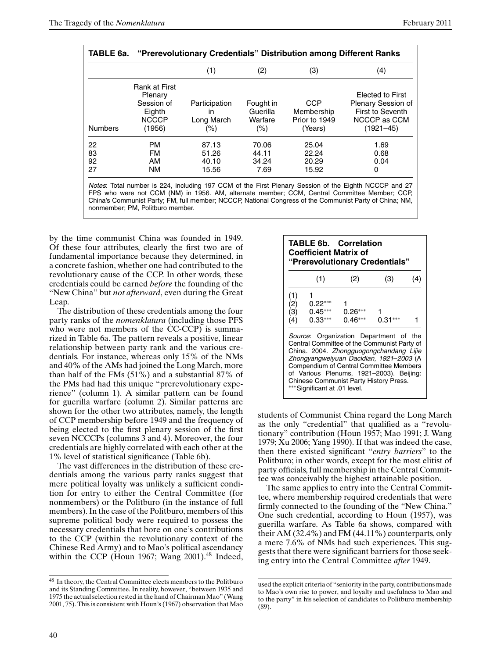|                      | <b>TABLE 6a. "Prerevolutionary Credentials" Distribution among Different Ranks</b> |                                          |                                          |                                                      |                                                                                             |  |  |
|----------------------|------------------------------------------------------------------------------------|------------------------------------------|------------------------------------------|------------------------------------------------------|---------------------------------------------------------------------------------------------|--|--|
|                      |                                                                                    | (1)                                      | (2)                                      | (3)                                                  | (4)                                                                                         |  |  |
| <b>Numbers</b>       | <b>Rank at First</b><br>Plenary<br>Session of<br>Eighth<br><b>NCCCP</b><br>(1956)  | Participation<br>in<br>Long March<br>(%) | Fought in<br>Guerilla<br>Warfare<br>(% ) | <b>CCP</b><br>Membership<br>Prior to 1949<br>(Years) | Elected to First<br>Plenary Session of<br>First to Seventh<br>NCCCP as CCM<br>$(1921 - 45)$ |  |  |
| 22<br>83<br>92<br>27 | <b>PM</b><br><b>FM</b><br>AM<br><b>NM</b>                                          | 87.13<br>51.26<br>40.10<br>15.56         | 70.06<br>44.11<br>34.24<br>7.69          | 25.04<br>22.24<br>20.29<br>15.92                     | 1.69<br>0.68<br>0.04<br>0                                                                   |  |  |

Notes: Total number is 224, including 197 CCM of the First Plenary Session of the Eighth NCCCP and 27 FPS who were not CCM (NM) in 1956. AM, alternate member; CCM, Central Committee Member; CCP, China's Communist Party; FM, full member; NCCCP, National Congress of the Communist Party of China; NM, nonmember; PM, Politburo member.

by the time communist China was founded in 1949. Of these four attributes, clearly the first two are of fundamental importance because they determined, in a concrete fashion, whether one had contributed to the revolutionary cause of the CCP. In other words, these credentials could be earned *before* the founding of the "New China" but *not afterward*, even during the Great Leap.

The distribution of these credentials among the four party ranks of the *nomenklatura* (including those PFS who were not members of the CC-CCP) is summarized in Table 6a. The pattern reveals a positive, linear relationship between party rank and the various credentials. For instance, whereas only 15% of the NMs and 40% of the AMs had joined the Long March, more than half of the FMs (51%) and a substantial 87% of the PMs had had this unique "prerevolutionary experience" (column 1). A similar pattern can be found for guerilla warfare (column 2). Similar patterns are shown for the other two attributes, namely, the length of CCP membership before 1949 and the frequency of being elected to the first plenary session of the first seven NCCCPs (columns 3 and 4). Moreover, the four credentials are highly correlated with each other at the 1% level of statistical significance (Table 6b).

The vast differences in the distribution of these credentials among the various party ranks suggest that mere political loyalty was unlikely a sufficient condition for entry to either the Central Committee (for nonmembers) or the Politburo (in the instance of full members). In the case of the Politburo, members of this supreme political body were required to possess the necessary credentials that bore on one's contributions to the CCP (within the revolutionary context of the Chinese Red Army) and to Mao's political ascendancy within the CCP (Houn 1967; Wang 2001).<sup>48</sup> Indeed,

| <b>TABLE 6b. Correlation</b><br><b>Coefficient Matrix of</b><br>"Prerevolutionary Credentials"                                                                                                                                                                                                                                                       |                                     |                      |           |     |  |
|------------------------------------------------------------------------------------------------------------------------------------------------------------------------------------------------------------------------------------------------------------------------------------------------------------------------------------------------------|-------------------------------------|----------------------|-----------|-----|--|
|                                                                                                                                                                                                                                                                                                                                                      | (1)                                 | (2)                  | (3)       | (4) |  |
| (1)<br>(2)<br>(3)<br>(4)                                                                                                                                                                                                                                                                                                                             | $0.22***$<br>$0.45***$<br>$0.33***$ | 0.26***<br>$0.46***$ | $0.31***$ |     |  |
| Source: Organization Department of the<br>Central Committee of the Communist Party of<br>China. 2004. Zhongguogongchandang Lijie<br>Zhongyangweiyuan Dacidian, 1921-2003 (A<br><b>Compendium of Central Committee Members</b><br>of Various Plenums, 1921-2003). Beijing:<br>Chinese Communist Party History Press.<br>*** Significant at .01 level. |                                     |                      |           |     |  |

students of Communist China regard the Long March as the only "credential" that qualified as a "revolutionary" contribution (Houn 1957; Mao 1991; J. Wang 1979; Xu 2006; Yang 1990). If that was indeed the case, then there existed significant "*entry barriers*" to the Politburo; in other words, except for the most elitist of party officials, full membership in the Central Committee was conceivably the highest attainable position.

The same applies to entry into the Central Committee, where membership required credentials that were firmly connected to the founding of the "New China." One such credential, according to Houn (1957), was guerilla warfare. As Table 6a shows, compared with their AM (32.4%) and FM (44.11%) counterparts, only a mere 7.6% of NMs had such experiences. This suggests that there were significant barriers for those seeking entry into the Central Committee *after* 1949.

<sup>48</sup> In theory, the Central Committee elects members to the Politburo and its Standing Committee. In reality, however, "between 1935 and 1975 the actual selection rested in the hand of Chairman Mao" (Wang 2001, 75). This is consistent with Houn's (1967) observation that Mao

used the explicit criteria of "seniority in the party, contributions made to Mao's own rise to power, and loyalty and usefulness to Mao and to the party" in his selection of candidates to Politburo membership (89).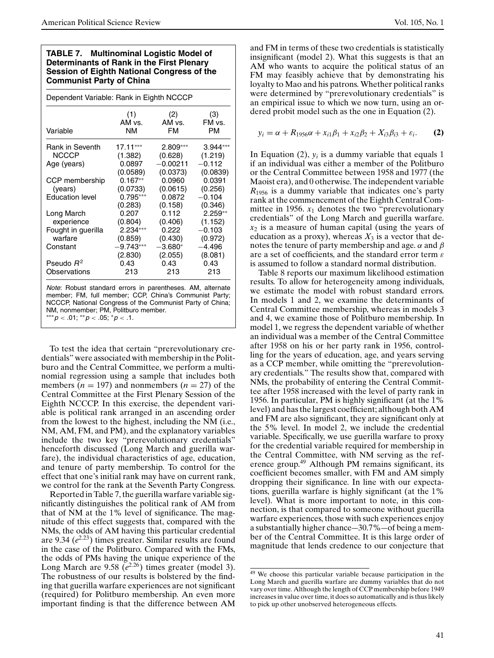## **TABLE 7. Multinominal Logistic Model of Determinants of Rank in the First Plenary Session of Eighth National Congress of the Communist Party of China**

| Dependent Variable: Rank in Eighth NCCCP                                                                                                                                                                                                                                 |                     |                     |                            |  |  |
|--------------------------------------------------------------------------------------------------------------------------------------------------------------------------------------------------------------------------------------------------------------------------|---------------------|---------------------|----------------------------|--|--|
| Variable                                                                                                                                                                                                                                                                 | (1)<br>AM vs.<br>ΝM | (2)<br>AM vs.<br>FM | (3)<br>FM vs.<br><b>PM</b> |  |  |
| <b>Rank in Seventh</b>                                                                                                                                                                                                                                                   | $17.11***$          | $2.809***$          | $3.944***$                 |  |  |
| <b>NCCCP</b>                                                                                                                                                                                                                                                             | (1.382)             | (0.628)             | (1.219)                    |  |  |
| Age (years)                                                                                                                                                                                                                                                              | 0.0897              | $-0.00211$          | $-0.112$                   |  |  |
|                                                                                                                                                                                                                                                                          | (0.0589)            | (0.0373)            | (0.0839)                   |  |  |
| CCP membership                                                                                                                                                                                                                                                           | $0.167**$           | 0.0960              | 0.0391                     |  |  |
| (years)                                                                                                                                                                                                                                                                  | (0.0733)            | (0.0615)            | (0.256)                    |  |  |
| <b>Education level</b>                                                                                                                                                                                                                                                   | $0.795***$          | 0.0872              | $-0.104$                   |  |  |
|                                                                                                                                                                                                                                                                          | (0.283)             | (0.158)             | (0.346)                    |  |  |
| Long March                                                                                                                                                                                                                                                               | 0.207               | 0.112               | $2.259**$                  |  |  |
| experience                                                                                                                                                                                                                                                               | (0.804)             | (0.406)             | (1.152)                    |  |  |
| Fought in guerilla                                                                                                                                                                                                                                                       | $2.234***$          | 0.222               | $-0.103$                   |  |  |
| warfare                                                                                                                                                                                                                                                                  | (0.859)             | (0.430)             | (0.972)                    |  |  |
| Constant                                                                                                                                                                                                                                                                 | $-9.743***$         | $-3.680*$           | $-4.496$                   |  |  |
|                                                                                                                                                                                                                                                                          | (2.830)             | (2.055)             | (8.081)                    |  |  |
| Pseudo $R^2$                                                                                                                                                                                                                                                             | 0.43                | 0.43                | 0.43                       |  |  |
| Observations                                                                                                                                                                                                                                                             | 213                 | 213                 | 213                        |  |  |
| Note: Robust standard errors in parentheses. AM, alternate<br>member; FM, full member; CCP, China's Communist Party;<br>NCCCP, National Congress of the Communist Party of China;<br>NM, nonmember; PM, Politburo member.<br>*** $p < .01$ ; ** $p < .05$ ; * $p < .1$ . |                     |                     |                            |  |  |

To test the idea that certain "prerevolutionary credentials" were associated with membership in the Politburo and the Central Committee, we perform a multinomial regression using a sample that includes both members ( $n = 197$ ) and nonmembers ( $n = 27$ ) of the Central Committee at the First Plenary Session of the Eighth NCCCP. In this exercise, the dependent variable is political rank arranged in an ascending order from the lowest to the highest, including the NM (i.e., NM, AM, FM, and PM), and the explanatory variables include the two key "prerevolutionary credentials" henceforth discussed (Long March and guerilla warfare), the individual characteristics of age, education, and tenure of party membership. To control for the effect that one's initial rank may have on current rank, we control for the rank at the Seventh Party Congress.

Reported in Table 7, the guerilla warfare variable significantly distinguishes the political rank of AM from that of NM at the 1% level of significance. The magnitude of this effect suggests that, compared with the NMs, the odds of AM having this particular credential are  $9.34$  ( $e^{2.23}$ ) times greater. Similar results are found in the case of the Politburo. Compared with the FMs, the odds of PMs having the unique experience of the Long March are  $9.58$  ( $e^{2.26}$ ) times greater (model 3). The robustness of our results is bolstered by the finding that guerilla warfare experiences are not significant (required) for Politburo membership. An even more important finding is that the difference between AM

and FM in terms of these two credentials is statistically insignificant (model 2). What this suggests is that an AM who wants to acquire the political status of an FM may feasibly achieve that by demonstrating his loyalty to Mao and his patrons. Whether political ranks were determined by "prerevolutionary credentials" is an empirical issue to which we now turn, using an ordered probit model such as the one in Equation (2).

$$
y_i = \alpha + R_{1956}\alpha + x_{i1}\beta_1 + x_{i2}\beta_2 + X_{i3}\beta_{i3} + \varepsilon_i.
$$
 (2)

In Equation  $(2)$ ,  $y_i$  is a dummy variable that equals 1 if an individual was either a member of the Politburo or the Central Committee between 1958 and 1977 (the Maoist era), and 0 otherwise. The independent variable  $R_{1956}$  is a dummy variable that indicates one's party rank at the commencement of the Eighth Central Committee in 1956.  $x_1$  denotes the two "prerevolutionary" credentials" of the Long March and guerilla warfare.  $x_2$  is a measure of human capital (using the years of education as a proxy), whereas  $X_3$  is a vector that denotes the tenure of party membership and age. *α* and *β* are a set of coefficients, and the standard error term *ε* is assumed to follow a standard normal distribution.

Table 8 reports our maximum likelihood estimation results. To allow for heterogeneity among individuals, we estimate the model with robust standard errors. In models 1 and 2, we examine the determinants of Central Committee membership, whereas in models 3 and 4, we examine those of Politburo membership. In model 1, we regress the dependent variable of whether an individual was a member of the Central Committee after 1958 on his or her party rank in 1956, controlling for the years of education, age, and years serving as a CCP member, while omitting the "prerevolutionary credentials." The results show that, compared with NMs, the probability of entering the Central Committee after 1958 increased with the level of party rank in 1956. In particular, PM is highly significant (at the 1% level) and has the largest coefficient; although both AM and FM are also significant, they are significant only at the 5% level. In model 2, we include the credential variable. Specifically, we use guerilla warfare to proxy for the credential variable required for membership in the Central Committee, with NM serving as the reference group.<sup>49</sup> Although PM remains significant, its coefficient becomes smaller, with FM and AM simply dropping their significance. In line with our expectations, guerilla warfare is highly significant (at the 1% level). What is more important to note, in this connection, is that compared to someone without guerilla warfare experiences, those with such experiences enjoy a substantially higher chance—30.7%—of being a member of the Central Committee. It is this large order of magnitude that lends credence to our conjecture that

<sup>&</sup>lt;sup>49</sup> We choose this particular variable because participation in the Long March and guerilla warfare are dummy variables that do not vary over time. Although the length of CCP membership before 1949 increases in value over time, it does so automatically and is thus likely to pick up other unobserved heterogeneous effects.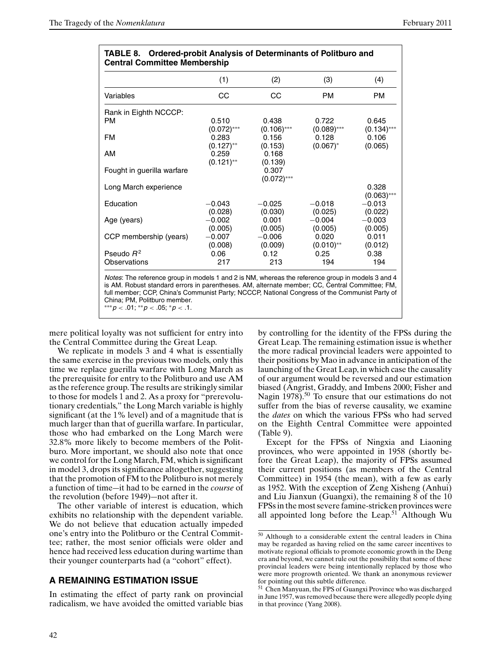| <b>Central Committee Membership</b> |                        |                        |                        |                        |
|-------------------------------------|------------------------|------------------------|------------------------|------------------------|
|                                     | (1)                    | (2)                    | (3)                    | (4)                    |
| Variables                           | CС                     | CС                     | <b>PM</b>              | <b>PM</b>              |
| Rank in Eighth NCCCP:               |                        |                        |                        |                        |
| PM.                                 | 0.510<br>$(0.072)$ *** | 0.438<br>$(0.106)$ *** | 0.722<br>$(0.089)$ *** | 0.645<br>$(0.134)$ *** |
| FM                                  | 0.283<br>$(0.127)$ **  | 0.156<br>(0.153)       | 0.128<br>$(0.067)^*$   | 0.106<br>(0.065)       |
| AM                                  | 0.259<br>$(0.121)$ **  | 0.168<br>(0.139)       |                        |                        |
| Fought in guerilla warfare          |                        | 0.307<br>$(0.072)$ *** |                        |                        |
| Long March experience               |                        |                        |                        | 0.328<br>$(0.063)$ *** |
| Education                           | $-0.043$<br>(0.028)    | $-0.025$<br>(0.030)    | $-0.018$<br>(0.025)    | $-0.013$<br>(0.022)    |
| Age (years)                         | $-0.002$<br>(0.005)    | 0.001<br>(0.005)       | $-0.004$<br>(0.005)    | $-0.003$<br>(0.005)    |
| CCP membership (years)              | $-0.007$<br>(0.008)    | $-0.006$<br>(0.009)    | 0.020<br>$(0.010)$ **  | 0.011<br>(0.012)       |
| Pseudo $R^2$                        | 0.06                   | 0.12                   | 0.25                   | 0.38                   |
| Observations                        | 217                    | 213                    | 194                    | 194                    |

**TABLE 8. Ordered-probit Analysis of Determinants of Politburo and**

Notes: The reference group in models 1 and 2 is NM, whereas the reference group in models 3 and 4 is AM. Robust standard errors in parentheses. AM, alternate member; CC, Central Committee; FM, full member; CCP, China's Communist Party; NCCCP, National Congress of the Communist Party of China; PM, Politburo member.

∗∗∗p *<* .01; ∗∗p *<* .05; ∗p *<* .1.

mere political loyalty was not sufficient for entry into the Central Committee during the Great Leap.

We replicate in models 3 and 4 what is essentially the same exercise in the previous two models, only this time we replace guerilla warfare with Long March as the prerequisite for entry to the Politburo and use AM as the reference group. The results are strikingly similar to those for models 1 and 2. As a proxy for "prerevolutionary credentials," the Long March variable is highly significant (at the 1% level) and of a magnitude that is much larger than that of guerilla warfare. In particular, those who had embarked on the Long March were 32.8% more likely to become members of the Politburo. More important, we should also note that once we control for the Long March, FM, which is significant in model 3, drops its significance altogether, suggesting that the promotion of FM to the Politburo is not merely a function of time—it had to be earned in the *course* of the revolution (before 1949)—not after it.

The other variable of interest is education, which exhibits no relationship with the dependent variable. We do not believe that education actually impeded one's entry into the Politburo or the Central Committee; rather, the most senior officials were older and hence had received less education during wartime than their younger counterparts had (a "cohort" effect).

# **A REMAINING ESTIMATION ISSUE**

In estimating the effect of party rank on provincial radicalism, we have avoided the omitted variable bias by controlling for the identity of the FPSs during the Great Leap. The remaining estimation issue is whether the more radical provincial leaders were appointed to their positions by Mao in advance in anticipation of the launching of the Great Leap, in which case the causality of our argument would be reversed and our estimation biased (Angrist, Graddy, and Imbens 2000; Fisher and Nagin 1978).<sup>50</sup> To ensure that our estimations do not suffer from the bias of reverse causality, we examine the *dates* on which the various FPSs who had served on the Eighth Central Committee were appointed (Table 9).

Except for the FPSs of Ningxia and Liaoning provinces, who were appointed in 1958 (shortly before the Great Leap), the majority of FPSs assumed their current positions (as members of the Central Committee) in 1954 (the mean), with a few as early as 1952. With the exception of Zeng Xisheng (Anhui) and Liu Jianxun (Guangxi), the remaining 8 of the 10 FPSs in the most severe famine-stricken provinces were all appointed long before the Leap.<sup>51</sup> Although Wu

<sup>50</sup> Although to a considerable extent the central leaders in China may be regarded as having relied on the same career incentives to motivate regional officials to promote economic growth in the Deng era and beyond, we cannot rule out the possibility that some of these provincial leaders were being intentionally replaced by those who were more progrowth oriented. We thank an anonymous reviewer for pointing out this subtle difference.

<sup>51</sup> Chen Manyuan, the FPS of Guangxi Province who was discharged in June 1957, was removed because there were allegedly people dying in that province (Yang 2008).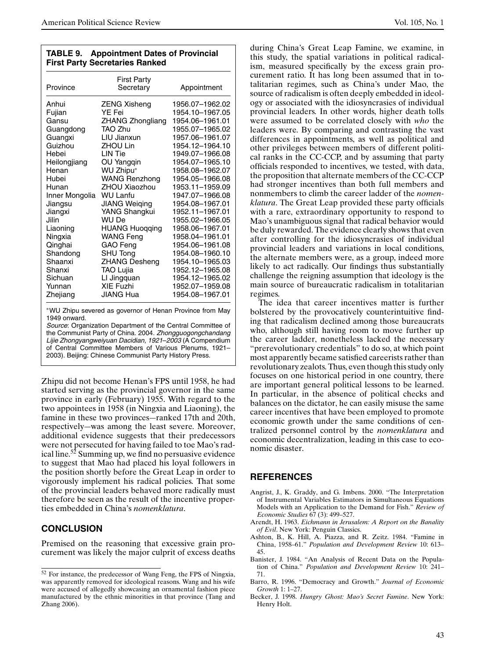| Province       | <b>First Party</b><br>Secretary | Appointment     |
|----------------|---------------------------------|-----------------|
| Anhui          | <b>ZENG Xisheng</b>             | 1956.07-1962.02 |
| Fujian         | YE Fei                          | 1954.10-1967.05 |
| Gansu          | <b>ZHANG Zhongliang</b>         | 1954.06-1961.01 |
| Guangdong      | TAO Zhu                         | 1955.07-1965.02 |
| Guangxi        | LIU Jianxun                     | 1957.06-1961.07 |
| Guizhou        | <b>ZHOU Lin</b>                 | 1954.12-1964.10 |
| Hebei          | LIN Tie                         | 1949.07-1966.08 |
| Heilongjiang   | OU Yangqin                      | 1954.07-1965.10 |
| Henan          | WU Zhipu*                       | 1958.08-1962.07 |
| Hubei          | <b>WANG Renzhong</b>            | 1954.05-1966.08 |
| Hunan          | <b>ZHOU Xiaozhou</b>            | 1953.11-1959.09 |
| Inner Mongolia | <b>WU Lanfu</b>                 | 1947.07-1966.08 |
| Jiangsu        | <b>JIANG Weiging</b>            | 1954.08-1967.01 |
| Jiangxi        | YANG Shangkui                   | 1952.11–1967.01 |
| Jilin          | WU De                           | 1955.02-1966.05 |
| Liaoning       | <b>HUANG Huogging</b>           | 1958.06-1967.01 |
| Ningxia        | <b>WANG Feng</b>                | 1958.04-1961.01 |
| Qinghai        | GAO Feng                        | 1954.06-1961.08 |
| Shandong       | SHU Tong                        | 1954.08-1960.10 |
| Shaanxi        | <b>ZHANG Desheng</b>            | 1954.10-1965.03 |
| Shanxi         | TAO Lujia                       | 1952.12-1965.08 |
| Sichuan        | LI Jingquan                     | 1954.12-1965.02 |
| Yunnan         | <b>XIE Fuzhi</b>                | 1952.07-1959.08 |
| Zhejiang       | JIANG Hua                       | 1954.08-1967.01 |

**TABLE 9. Appointment Dates of Provincial First Party Secretaries Ranked**

∗WU Zhipu severed as governor of Henan Province from May 1949 onward.

Source: Organization Department of the Central Committee of the Communist Party of China. 2004. Zhongguogongchandang Lijie Zhongyangweiyuan Dacidian, 1921–2003 (A Compendium of Central Committee Members of Various Plenums, 1921– 2003). Beijing: Chinese Communist Party History Press.

Zhipu did not become Henan's FPS until 1958, he had started serving as the provincial governor in the same province in early (February) 1955. With regard to the two appointees in 1958 (in Ningxia and Liaoning), the famine in these two provinces—ranked 17th and 20th, respectively—was among the least severe. Moreover, additional evidence suggests that their predecessors were not persecuted for having failed to toe Mao's radical line.<sup>52</sup> Summing up, we find no persuasive evidence to suggest that Mao had placed his loyal followers in the position shortly before the Great Leap in order to vigorously implement his radical policies. That some of the provincial leaders behaved more radically must therefore be seen as the result of the incentive properties embedded in China's *nomenklatura*.

# **CONCLUSION**

Premised on the reasoning that excessive grain procurement was likely the major culprit of excess deaths during China's Great Leap Famine, we examine, in this study, the spatial variations in political radicalism, measured specifically by the excess grain procurement ratio. It has long been assumed that in totalitarian regimes, such as China's under Mao, the source of radicalism is often deeply embedded in ideology or associated with the idiosyncrasies of individual provincial leaders. In other words, higher death tolls were assumed to be correlated closely with *who* the leaders were. By comparing and contrasting the vast differences in appointments, as well as political and other privileges between members of different political ranks in the CC-CCP, and by assuming that party officials responded to incentives, we tested, with data, the proposition that alternate members of the CC-CCP had stronger incentives than both full members and nonmembers to climb the career ladder of the *nomenklatura*. The Great Leap provided these party officials with a rare, extraordinary opportunity to respond to Mao's unambiguous signal that radical behavior would be duly rewarded. The evidence clearly shows that even after controlling for the idiosyncrasies of individual provincial leaders and variations in local conditions, the alternate members were, as a group, indeed more likely to act radically. Our findings thus substantially challenge the reigning assumption that ideology is the main source of bureaucratic radicalism in totalitarian regimes.

The idea that career incentives matter is further bolstered by the provocatively counterintuitive finding that radicalism declined among those bureaucrats who, although still having room to move further up the career ladder, nonetheless lacked the necessary "prerevolutionary credentials" to do so, at which point most apparently became satisfied careerists rather than revolutionary zealots. Thus, even though this study only focuses on one historical period in one country, there are important general political lessons to be learned. In particular, in the absence of political checks and balances on the dictator, he can easily misuse the same career incentives that have been employed to promote economic growth under the same conditions of centralized personnel control by the *nomenklatura* and economic decentralization, leading in this case to economic disaster.

# **REFERENCES**

- Angrist, J., K. Graddy, and G. Imbens. 2000. "The Interpretation of Instrumental Variables Estimators in Simultaneous Equations Models with an Application to the Demand for Fish." *Review of Economic Studies* 67 (3): 499–527.
- Arendt, H. 1963. *Eichmann in Jerusalem: A Report on the Banality of Evil*. New York: Penguin Classics.
- Ashton, B., K. Hill, A. Piazza, and R. Zeitz. 1984. "Famine in China, 1958–61." *Population and Development Review* 10: 613– 45.
- Banister, J. 1984. "An Analysis of Recent Data on the Population of China." *Population and Development Review* 10: 241– 71.
- Barro, R. 1996. "Democracy and Growth." *Journal of Economic Growth* 1: 1–27.
- Becker, J. 1998. *Hungry Ghost: Mao's Secret Famine*. New York: Henry Holt.

<sup>52</sup> For instance, the predecessor of Wang Feng, the FPS of Ningxia, was apparently removed for ideological reasons. Wang and his wife were accused of allegedly showcasing an ornamental fashion piece manufactured by the ethnic minorities in that province (Tang and Zhang 2006).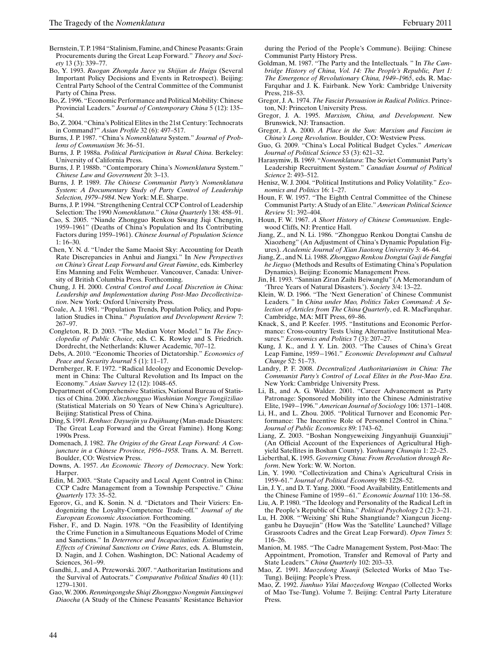- Bo, Y. 1993. *Ruogan Zhongda Juece yu Shijian de Huigu* (Several Important Policy Decisions and Events in Retrospect). Beijing: Central Party School of the Central Committee of the Communist Party of China Press.
- Bo, Z. 1996. "Economic Performance and Political Mobility: Chinese Provincial Leaders." *Journal of Contemporary China* 5 (12): 135– 54.
- Bo, Z. 2004. "China's Political Elites in the 21st Century: Technocrats in Command?" *Asian Profile* 32 (6): 497–517.
- Burns, J. P. 1987. "China's *Nomenklatura* System." *Journal of Problems of Communism* 36: 36–51.
- Burns, J. P. 1988a. *Political Participation in Rural China*. Berkeley: University of California Press.
- Burns, J. P. 1988b. "Contemporary China's *Nomenklatura* System." *Chinese Law and Government* 20: 3–13.
- Burns, J. P. 1989. *The Chinese Communist Party's Nomenklatura System: A Documentary Study of Party Control of Leadership Selection, 1979–1984*. New York: M.E. Sharpe.
- Burns, J. P. 1994. "Strengthening Central CCP Control of Leadership Selection: The 1990 *Nomenklatura*." *China Quarterly* 138: 458–91.
- Cao, S. 2005. "Niande Zhongguo Renkou Siwang Jiqi Chengyin, 1959–1961" (Deaths of China's Population and Its Contributing Factors during 1959–1961). *Chinese Journal of Population Science*  $1.16 - 30.$
- Chen, Y. N. d. "Under the Same Maoist Sky: Accounting for Death Rate Discrepancies in Anhui and Jiangxi." In *New Perspectives on China's Great Leap Forward and Great Famine*, eds. Kimberley Ens Manning and Felix Wemheuer. Vancouver, Canada: University of British Columbia Press. Forthcoming.
- Chung, J. H. 2000. *Central Control and Local Discretion in China: Leadership and Implementation during Post-Mao Decollectivization*. New York: Oxford University Press.
- Coale, A. J. 1981. "Population Trends, Population Policy, and Population Studies in China." *Population and Development Review* 7: 267–97.
- Congleton, R. D. 2003. "The Median Voter Model." In *The Encyclopedia of Public Choice*, eds. C. K. Rowley and S. Friedrich. Dordrecht, the Netherlands: Kluwer Academic, 707–12.
- Debs, A. 2010. "Economic Theories of Dictatorship." *Economics of Peace and Security Journal* 5 (1): 11–17.
- Dernberger, R. F. 1972. "Radical Ideology and Economic Development in China: The Cultural Revolution and Its Impact on the Economy." *Asian Survey* 12 (12): 1048–65.
- Department of Comprehensive Statistics, National Bureau of Statistics of China. 2000. *Xinzhongguo Wushinian Nongye Tongjiziliao* (Statistical Materials on 50 Years of New China's Agriculture). Beijing: Statistical Press of China.
- Ding, S. 1991. *Renhuo: Dayuejin yu Dajihuang* (Man-made Disasters: The Great Leap Forward and the Great Famine). Hong Kong: 1990s Press.
- Domenach, J. 1982. *The Origins of the Great Leap Forward: A Conjuncture in a Chinese Province, 1956–1958*. Trans. A. M. Berrett. Boulder, CO: Westview Press.
- Downs, A. 1957. *An Economic Theory of Democracy*. New York: Harper.
- Edin, M. 2003. "State Capacity and Local Agent Control in China: CCP Cadre Management from a Township Perspective." *China Quarterly* 173: 35–52.
- Egorov, G., and K. Sonin. N. d. "Dictators and Their Viziers: Endogenizing the Loyalty-Competence Trade-off." *Journal of the European Economic Association.* Forthcoming.
- Fisher, F., and D. Nagin. 1978. "On the Feasibility of Identifying the Crime Function in a Simultaneous Equations Model of Crime and Sanctions." In *Deterrence and Incapacitation: Estimating the Effects of Criminal Sanctions on Crime Rates*, eds. A. Blumstein, D. Nagin, and J. Cohen. Washington, DC: National Academy of Sciences, 361–99.
- Gandhi, J., and A. Przeworski. 2007. "Authoritarian Institutions and the Survival of Autocrats." *Comparative Political Studies* 40 (11): 1279–1301.
- Gao, W. 2006. *Renmingongshe Shiqi Zhongguo Nongmin Fanxingwei Diaocha* (A Study of the Chinese Peasants' Resistance Behavior

during the Period of the People's Commune). Beijing: Chinese Communist Party History Press.

- Goldman, M. 1987. "The Party and the Intellectuals. " In *The Cambridge History of China, Vol. 14: The People's Republic, Part 1: The Emergence of Revolutionary China, 1949–1965*, eds. R. Mac-Farquhar and J. K. Fairbank. New York: Cambridge University Press, 218–53.
- Gregor, J. A. 1974. *The Fascist Persuasion in Radical Politics*. Princeton, NJ: Princeton University Press.
- Gregor, J. A. 1995. *Marxism, China, and Development*. New Brunswick, NJ: Transaction.
- Gregor, J. A. 2000. *A Place in the Sun: Marxism and Fascism in China's Long Revolution*. Boulder, CO: Westview Press.
- Guo, G. 2009. "China's Local Political Budget Cycles." *American Journal of Political Science* 53 (3): 621–32.
- Harasymiw, B. 1969. "*Nomenklatura*: The Soviet Communist Party's Leadership Recruitment System." *Canadian Journal of Political Science* 2: 493–512.
- Henisz, W. J. 2004. "Political Institutions and Policy Volatility." *Economics and Politics* 16: 1–27.
- Houn, F. W. 1957. "The Eighth Central Committee of the Chinese Communist Party: A Study of an Elite." *American Political Science Review* 51: 392–404.
- Houn, F. W. 1967. *A Short History of Chinese Communism*. Englewood Cliffs, NJ: Prentice Hall.
- Jiang, Z., and N. Li. 1986. "Zhongguo Renkou Dongtai Canshu de Xiaozheng" (An Adjustment of China's Dynamic Population Figures). *Academic Journal of Xian Jiaotong University* 3: 46–64.
- Jiang, Z., and N. Li. 1988. *Zhongguo Renkou Dongtai Guji de Fangfai he Jieguo* (Methods and Results of Estimating China's Population Dynamics). Beijing: Economic Management Press.
- Jin, H. 1993. "Sannian Ziran Zaihi Beiwanglu" (A Memorandum of 'Three Years of Natural Disasters.'). *Society* 3/4: 13–22.
- Klein, W. D. 1966. "The 'Next Generation' of Chinese Communist Leaders. " In *China under Mao, Politics Takes Command: A Selection of Articles from The China Quarterly*, ed. R. MacFarquhar. Cambridge, MA: MIT Press, 69–86.
- Knack, S., and P. Keefer. 1995. "Institutions and Economic Performance: Cross-country Tests Using Alternative Institutional Measures." *Economics and Politics* 7 (3): 207–27.
- Kung, J. K., and J. Y. Lin. 2003. "The Causes of China's Great Leap Famine, 1959−1961." *Economic Development and Cultural Change* 52: 51–73.
- Landry, P. F. 2008. *Decentralized Authoritarianism in China: The Communist Party's Control of Local Elites in the Post-Mao Era*. New York: Cambridge University Press.
- Li, B., and A. G. Walder. 2001. "Career Advancement as Party Patronage: Sponsored Mobility into the Chinese Administrative Elite, 1949−1996." *American Journal of Sociology* 106: 1371–1408.
- Li, H., and L. Zhou. 2005. "Political Turnover and Economic Performance: The Incentive Role of Personnel Control in China.' *Journal of Public Economics* 89: 1743–62.
- Liang, Z. 2003. "Boshan Nongyeweixing Jingyanhuiji Guanxiuji" (An Official Account of the Experiences of Agricultural Highyield Satellites in Boshan County). *Yanhuang Chunqiu* 1: 22–25.
- Lieberthal, K. 1995. *Governing China: From Revolution through Reform*. New York: W. W. Norton.
- Lin, Y. 1990. "Collectivization and China's Agricultural Crisis in 1959–61." *Journal of Political Economy* 98: 1228–52.
- Lin, J. Y., and D. T. Yang. 2000. "Food Availability, Entitlements and the Chinese Famine of 1959−61." *Economic Journal* 110: 136–58.
- Liu, A. P. 1980. "The Ideology and Personality of the Radical Left in the People's Republic of China." *Political Psychology* 2 (2): 3–21.
- Lu, H. 2008. "'Weixing' Shi Ruhe Shangtiande? Xiangcun Jicengganbu he Dayuejin" (How Was the 'Satellite' Launched? Village Grassroots Cadres and the Great Leap Forward). *Open Times* 5: 116–26.
- Manion, M. 1985. "The Cadre Management System, Post-Mao: The Appointment, Promotion, Transfer and Removal of Party and State Leaders." *China Quarterly* 102: 203–33.
- Mao, Z. 1991. *Maozedong Xuanji* (Selected Works of Mao Tse-Tung). Beijing: People's Press.
- Mao, Z. 1992. *Jianhuo Yilai Maozedong Wengao* (Collected Works of Mao Tse-Tung). Volume 7. Beijing: Central Party Literature Press.